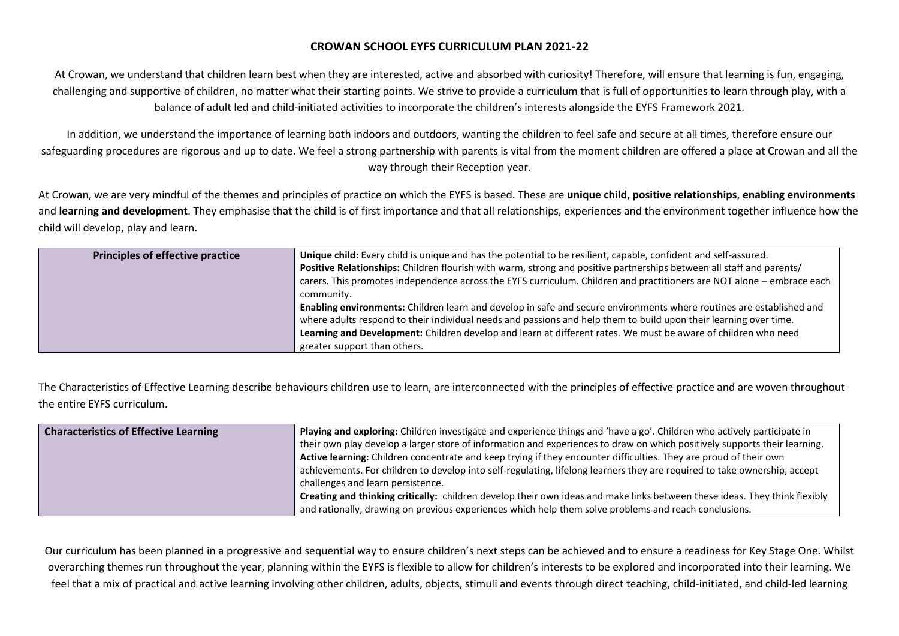## **CROWAN SCHOOL EYFS CURRICULUM PLAN 2021-22**

At Crowan, we understand that children learn best when they are interested, active and absorbed with curiosity! Therefore, will ensure that learning is fun, engaging, challenging and supportive of children, no matter what their starting points. We strive to provide a curriculum that is full of opportunities to learn through play, with a balance of adult led and child-initiated activities to incorporate the children's interests alongside the EYFS Framework 2021.

In addition, we understand the importance of learning both indoors and outdoors, wanting the children to feel safe and secure at all times, therefore ensure our safeguarding procedures are rigorous and up to date. We feel a strong partnership with parents is vital from the moment children are offered a place at Crowan and all the way through their Reception year.

At Crowan, we are very mindful of the themes and principles of practice on which the EYFS is based. These are **unique child**, **positive relationships**, **enabling environments** and **learning and development**. They emphasise that the child is of first importance and that all relationships, experiences and the environment together influence how the child will develop, play and learn.

| <b>Principles of effective practice</b> | Unique child: Every child is unique and has the potential to be resilient, capable, confident and self-assured.<br>Positive Relationships: Children flourish with warm, strong and positive partnerships between all staff and parents/   |
|-----------------------------------------|-------------------------------------------------------------------------------------------------------------------------------------------------------------------------------------------------------------------------------------------|
|                                         | carers. This promotes independence across the EYFS curriculum. Children and practitioners are NOT alone - embrace each<br>community.                                                                                                      |
|                                         | Enabling environments: Children learn and develop in safe and secure environments where routines are established and<br>where adults respond to their individual needs and passions and help them to build upon their learning over time. |
|                                         | Learning and Development: Children develop and learn at different rates. We must be aware of children who need<br>greater support than others.                                                                                            |

The Characteristics of Effective Learning describe behaviours children use to learn, are interconnected with the principles of effective practice and are woven throughout the entire EYFS curriculum.

| <b>Characteristics of Effective Learning</b> | Playing and exploring: Children investigate and experience things and 'have a go'. Children who actively participate in    |
|----------------------------------------------|----------------------------------------------------------------------------------------------------------------------------|
|                                              | their own play develop a larger store of information and experiences to draw on which positively supports their learning.  |
|                                              | Active learning: Children concentrate and keep trying if they encounter difficulties. They are proud of their own          |
|                                              | achievements. For children to develop into self-regulating, lifelong learners they are required to take ownership, accept  |
|                                              | challenges and learn persistence.                                                                                          |
|                                              | Creating and thinking critically: children develop their own ideas and make links between these ideas. They think flexibly |
|                                              | and rationally, drawing on previous experiences which help them solve problems and reach conclusions.                      |

Our curriculum has been planned in a progressive and sequential way to ensure children's next steps can be achieved and to ensure a readiness for Key Stage One. Whilst overarching themes run throughout the year, planning within the EYFS is flexible to allow for children's interests to be explored and incorporated into their learning. We feel that a mix of practical and active learning involving other children, adults, objects, stimuli and events through direct teaching, child-initiated, and child-led learning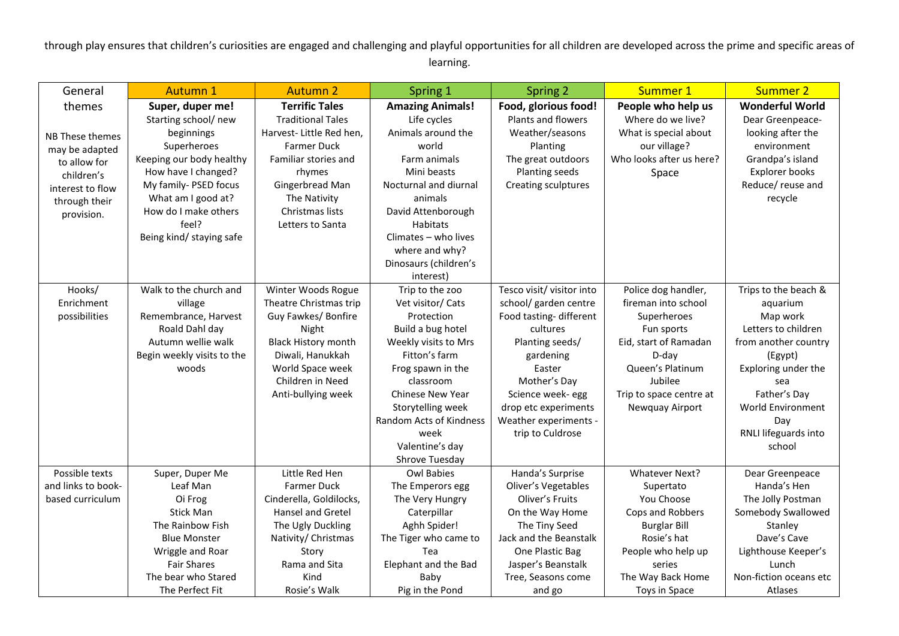through play ensures that children's curiosities are engaged and challenging and playful opportunities for all children are developed across the prime and specific areas of learning.

| General            | <b>Autumn 1</b>            | <b>Autumn 2</b>            | Spring 1                | Spring 2                  | Summer 1                 | <b>Summer 2</b>        |
|--------------------|----------------------------|----------------------------|-------------------------|---------------------------|--------------------------|------------------------|
| themes             | Super, duper me!           | <b>Terrific Tales</b>      | <b>Amazing Animals!</b> | Food, glorious food!      | People who help us       | <b>Wonderful World</b> |
|                    | Starting school/new        | <b>Traditional Tales</b>   | Life cycles             | Plants and flowers        | Where do we live?        | Dear Greenpeace-       |
| NB These themes    | beginnings                 | Harvest- Little Red hen,   | Animals around the      | Weather/seasons           | What is special about    | looking after the      |
| may be adapted     | Superheroes                | <b>Farmer Duck</b>         | world                   | Planting                  | our village?             | environment            |
| to allow for       | Keeping our body healthy   | Familiar stories and       | Farm animals            | The great outdoors        | Who looks after us here? | Grandpa's island       |
| children's         | How have I changed?        | rhymes                     | Mini beasts             | Planting seeds            | Space                    | Explorer books         |
| interest to flow   | My family- PSED focus      | Gingerbread Man            | Nocturnal and diurnal   | Creating sculptures       |                          | Reduce/ reuse and      |
| through their      | What am I good at?         | The Nativity               | animals                 |                           |                          | recycle                |
| provision.         | How do I make others       | Christmas lists            | David Attenborough      |                           |                          |                        |
|                    | feel?                      | Letters to Santa           | <b>Habitats</b>         |                           |                          |                        |
|                    | Being kind/ staying safe   |                            | Climates - who lives    |                           |                          |                        |
|                    |                            |                            | where and why?          |                           |                          |                        |
|                    |                            |                            | Dinosaurs (children's   |                           |                          |                        |
|                    |                            |                            | interest)               |                           |                          |                        |
| Hooks/             | Walk to the church and     | Winter Woods Rogue         | Trip to the zoo         | Tesco visit/ visitor into | Police dog handler,      | Trips to the beach &   |
| Enrichment         | village                    | Theatre Christmas trip     | Vet visitor/ Cats       | school/ garden centre     | fireman into school      | aquarium               |
| possibilities      | Remembrance, Harvest       | Guy Fawkes/ Bonfire        | Protection              | Food tasting-different    | Superheroes              | Map work               |
|                    | Roald Dahl day             | Night                      | Build a bug hotel       | cultures                  | Fun sports               | Letters to children    |
|                    | Autumn wellie walk         | <b>Black History month</b> | Weekly visits to Mrs    | Planting seeds/           | Eid, start of Ramadan    | from another country   |
|                    | Begin weekly visits to the | Diwali, Hanukkah           | Fitton's farm           | gardening                 | D-day                    | (Egypt)                |
|                    | woods                      | World Space week           | Frog spawn in the       | Easter                    | Queen's Platinum         | Exploring under the    |
|                    |                            | Children in Need           | classroom               | Mother's Day              | Jubilee                  | sea                    |
|                    |                            | Anti-bullying week         | Chinese New Year        | Science week- egg         | Trip to space centre at  | Father's Day           |
|                    |                            |                            | Storytelling week       | drop etc experiments      | Newquay Airport          | World Environment      |
|                    |                            |                            | Random Acts of Kindness | Weather experiments -     |                          | Day                    |
|                    |                            |                            | week                    | trip to Culdrose          |                          | RNLI lifeguards into   |
|                    |                            |                            | Valentine's day         |                           |                          | school                 |
|                    |                            |                            | Shrove Tuesday          |                           |                          |                        |
| Possible texts     | Super, Duper Me            | Little Red Hen             | <b>Owl Babies</b>       | Handa's Surprise          | Whatever Next?           | Dear Greenpeace        |
| and links to book- | Leaf Man                   | Farmer Duck                | The Emperors egg        | Oliver's Vegetables       | Supertato                | Handa's Hen            |
| based curriculum   | Oi Frog                    | Cinderella, Goldilocks,    | The Very Hungry         | Oliver's Fruits           | You Choose               | The Jolly Postman      |
|                    | <b>Stick Man</b>           | Hansel and Gretel          | Caterpillar             | On the Way Home           | Cops and Robbers         | Somebody Swallowed     |
|                    | The Rainbow Fish           | The Ugly Duckling          | Aghh Spider!            | The Tiny Seed             | <b>Burglar Bill</b>      | Stanley                |
|                    | <b>Blue Monster</b>        | Nativity/ Christmas        | The Tiger who came to   | Jack and the Beanstalk    | Rosie's hat              | Dave's Cave            |
|                    | Wriggle and Roar           | Story                      | Tea                     | One Plastic Bag           | People who help up       | Lighthouse Keeper's    |
|                    | <b>Fair Shares</b>         | Rama and Sita              | Elephant and the Bad    | Jasper's Beanstalk        | series                   | Lunch                  |
|                    | The bear who Stared        | Kind                       | Baby                    | Tree, Seasons come        | The Way Back Home        | Non-fiction oceans etc |
|                    | The Perfect Fit            | Rosie's Walk               | Pig in the Pond         | and go                    | Toys in Space            | <b>Atlases</b>         |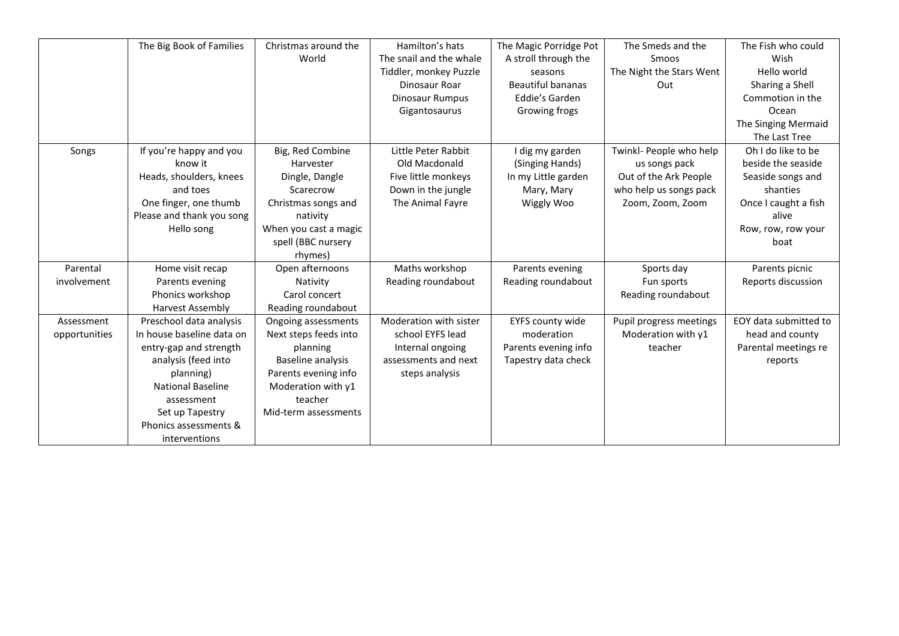|               | The Big Book of Families  | Christmas around the  | Hamilton's hats         | The Magic Porridge Pot   | The Smeds and the        | The Fish who could    |
|---------------|---------------------------|-----------------------|-------------------------|--------------------------|--------------------------|-----------------------|
|               |                           | World                 | The snail and the whale | A stroll through the     | Smoos                    | Wish                  |
|               |                           |                       | Tiddler, monkey Puzzle  | seasons                  | The Night the Stars Went | Hello world           |
|               |                           |                       | Dinosaur Roar           | <b>Beautiful bananas</b> | Out                      | Sharing a Shell       |
|               |                           |                       | Dinosaur Rumpus         | Eddie's Garden           |                          | Commotion in the      |
|               |                           |                       | Gigantosaurus           | Growing frogs            |                          | Ocean                 |
|               |                           |                       |                         |                          |                          | The Singing Mermaid   |
|               |                           |                       |                         |                          |                          | The Last Tree         |
| Songs         | If you're happy and you   | Big, Red Combine      | Little Peter Rabbit     | I dig my garden          | Twinkl- People who help  | Oh I do like to be    |
|               | know it                   | Harvester             | Old Macdonald           | (Singing Hands)          | us songs pack            | beside the seaside    |
|               | Heads, shoulders, knees   | Dingle, Dangle        | Five little monkeys     | In my Little garden      | Out of the Ark People    | Seaside songs and     |
|               | and toes                  | Scarecrow             | Down in the jungle      | Mary, Mary               | who help us songs pack   | shanties              |
|               | One finger, one thumb     | Christmas songs and   | The Animal Fayre        | Wiggly Woo               | Zoom, Zoom, Zoom         | Once I caught a fish  |
|               | Please and thank you song | nativity              |                         |                          |                          | alive                 |
|               | Hello song                | When you cast a magic |                         |                          |                          | Row, row, row your    |
|               |                           | spell (BBC nursery    |                         |                          |                          | boat                  |
|               |                           | rhymes)               |                         |                          |                          |                       |
| Parental      | Home visit recap          | Open afternoons       | Maths workshop          | Parents evening          | Sports day               | Parents picnic        |
| involvement   | Parents evening           | Nativity              | Reading roundabout      | Reading roundabout       | Fun sports               | Reports discussion    |
|               | Phonics workshop          | Carol concert         |                         |                          | Reading roundabout       |                       |
|               | <b>Harvest Assembly</b>   | Reading roundabout    |                         |                          |                          |                       |
| Assessment    | Preschool data analysis   | Ongoing assessments   | Moderation with sister  | EYFS county wide         | Pupil progress meetings  | EOY data submitted to |
| opportunities | In house baseline data on | Next steps feeds into | school EYFS lead        | moderation               | Moderation with y1       | head and county       |
|               | entry-gap and strength    | planning              | Internal ongoing        | Parents evening info     | teacher                  | Parental meetings re  |
|               | analysis (feed into       | Baseline analysis     | assessments and next    | Tapestry data check      |                          | reports               |
|               | planning)                 | Parents evening info  | steps analysis          |                          |                          |                       |
|               | <b>National Baseline</b>  | Moderation with y1    |                         |                          |                          |                       |
|               | assessment                | teacher               |                         |                          |                          |                       |
|               | Set up Tapestry           | Mid-term assessments  |                         |                          |                          |                       |
|               | Phonics assessments &     |                       |                         |                          |                          |                       |
|               | interventions             |                       |                         |                          |                          |                       |
|               |                           |                       |                         |                          |                          |                       |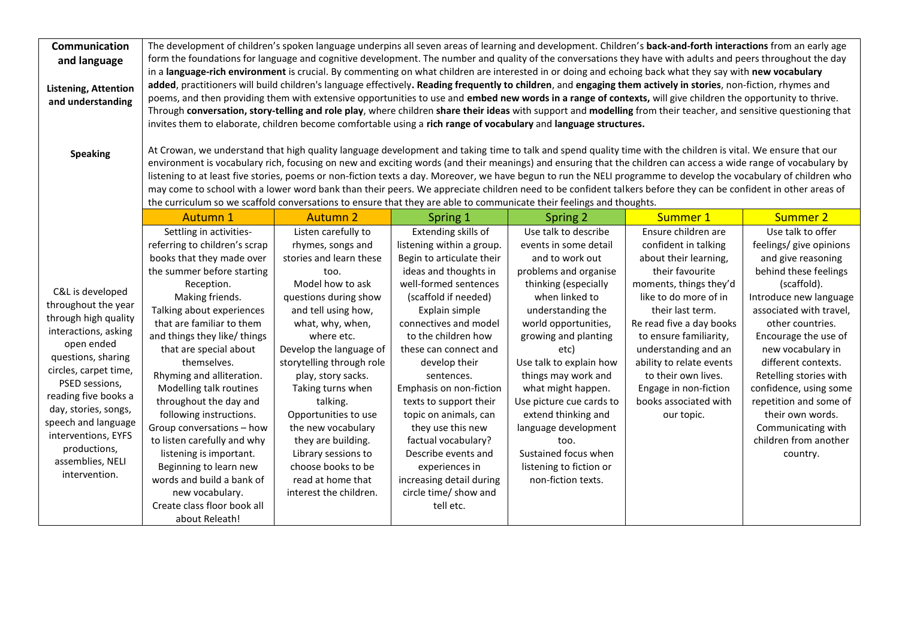| Communication<br>and language<br>Listening, Attention<br>and understanding<br><b>Speaking</b>                                                                                                                                                                                                                             | The development of children's spoken language underpins all seven areas of learning and development. Children's back-and-forth interactions from an early age<br>form the foundations for language and cognitive development. The number and quality of the conversations they have with adults and peers throughout the day<br>in a language-rich environment is crucial. By commenting on what children are interested in or doing and echoing back what they say with new vocabulary<br>added, practitioners will build children's language effectively. Reading frequently to children, and engaging them actively in stories, non-fiction, rhymes and<br>poems, and then providing them with extensive opportunities to use and embed new words in a range of contexts, will give children the opportunity to thrive.<br>Through conversation, story-telling and role play, where children share their ideas with support and modelling from their teacher, and sensitive questioning that<br>invites them to elaborate, children become comfortable using a rich range of vocabulary and language structures.<br>At Crowan, we understand that high quality language development and taking time to talk and spend quality time with the children is vital. We ensure that our<br>environment is vocabulary rich, focusing on new and exciting words (and their meanings) and ensuring that the children can access a wide range of vocabulary by<br>listening to at least five stories, poems or non-fiction texts a day. Moreover, we have begun to run the NELI programme to develop the vocabulary of children who<br>may come to school with a lower word bank than their peers. We appreciate children need to be confident talkers before they can be confident in other areas of |                                                                                                                                                                                                                                                                                                                                                                                                                                                                  |                                                                                                                                                                                                                                                                                                                                                                                                                                                                                                                        |                                                                                                                                                                                                                                                                                                                                                                                                                                                      |                                                                                                                                                                                                                                                                                                                                                                 |                                                                                                                                                                                                                                                                                                                                                                                                                      |
|---------------------------------------------------------------------------------------------------------------------------------------------------------------------------------------------------------------------------------------------------------------------------------------------------------------------------|------------------------------------------------------------------------------------------------------------------------------------------------------------------------------------------------------------------------------------------------------------------------------------------------------------------------------------------------------------------------------------------------------------------------------------------------------------------------------------------------------------------------------------------------------------------------------------------------------------------------------------------------------------------------------------------------------------------------------------------------------------------------------------------------------------------------------------------------------------------------------------------------------------------------------------------------------------------------------------------------------------------------------------------------------------------------------------------------------------------------------------------------------------------------------------------------------------------------------------------------------------------------------------------------------------------------------------------------------------------------------------------------------------------------------------------------------------------------------------------------------------------------------------------------------------------------------------------------------------------------------------------------------------------------------------------------------------------------------------------------------------------------------------------------|------------------------------------------------------------------------------------------------------------------------------------------------------------------------------------------------------------------------------------------------------------------------------------------------------------------------------------------------------------------------------------------------------------------------------------------------------------------|------------------------------------------------------------------------------------------------------------------------------------------------------------------------------------------------------------------------------------------------------------------------------------------------------------------------------------------------------------------------------------------------------------------------------------------------------------------------------------------------------------------------|------------------------------------------------------------------------------------------------------------------------------------------------------------------------------------------------------------------------------------------------------------------------------------------------------------------------------------------------------------------------------------------------------------------------------------------------------|-----------------------------------------------------------------------------------------------------------------------------------------------------------------------------------------------------------------------------------------------------------------------------------------------------------------------------------------------------------------|----------------------------------------------------------------------------------------------------------------------------------------------------------------------------------------------------------------------------------------------------------------------------------------------------------------------------------------------------------------------------------------------------------------------|
|                                                                                                                                                                                                                                                                                                                           | the curriculum so we scaffold conversations to ensure that they are able to communicate their feelings and thoughts.                                                                                                                                                                                                                                                                                                                                                                                                                                                                                                                                                                                                                                                                                                                                                                                                                                                                                                                                                                                                                                                                                                                                                                                                                                                                                                                                                                                                                                                                                                                                                                                                                                                                           |                                                                                                                                                                                                                                                                                                                                                                                                                                                                  |                                                                                                                                                                                                                                                                                                                                                                                                                                                                                                                        |                                                                                                                                                                                                                                                                                                                                                                                                                                                      |                                                                                                                                                                                                                                                                                                                                                                 |                                                                                                                                                                                                                                                                                                                                                                                                                      |
|                                                                                                                                                                                                                                                                                                                           | <b>Autumn 1</b>                                                                                                                                                                                                                                                                                                                                                                                                                                                                                                                                                                                                                                                                                                                                                                                                                                                                                                                                                                                                                                                                                                                                                                                                                                                                                                                                                                                                                                                                                                                                                                                                                                                                                                                                                                                | <b>Autumn 2</b>                                                                                                                                                                                                                                                                                                                                                                                                                                                  | Spring 1                                                                                                                                                                                                                                                                                                                                                                                                                                                                                                               | Spring 2                                                                                                                                                                                                                                                                                                                                                                                                                                             | Summer 1                                                                                                                                                                                                                                                                                                                                                        | <b>Summer 2</b>                                                                                                                                                                                                                                                                                                                                                                                                      |
| C&L is developed<br>throughout the year<br>through high quality<br>interactions, asking<br>open ended<br>questions, sharing<br>circles, carpet time,<br>PSED sessions,<br>reading five books a<br>day, stories, songs,<br>speech and language<br>interventions, EYFS<br>productions,<br>assemblies, NELI<br>intervention. | Settling in activities-<br>referring to children's scrap<br>books that they made over<br>the summer before starting<br>Reception.<br>Making friends.<br>Talking about experiences<br>that are familiar to them<br>and things they like/ things<br>that are special about<br>themselves.<br>Rhyming and alliteration.<br>Modelling talk routines<br>throughout the day and<br>following instructions.<br>Group conversations - how<br>to listen carefully and why<br>listening is important.<br>Beginning to learn new<br>words and build a bank of<br>new vocabulary.<br>Create class floor book all                                                                                                                                                                                                                                                                                                                                                                                                                                                                                                                                                                                                                                                                                                                                                                                                                                                                                                                                                                                                                                                                                                                                                                                           | Listen carefully to<br>rhymes, songs and<br>stories and learn these<br>too.<br>Model how to ask<br>questions during show<br>and tell using how,<br>what, why, when,<br>where etc.<br>Develop the language of<br>storytelling through role<br>play, story sacks.<br>Taking turns when<br>talking.<br>Opportunities to use<br>the new vocabulary<br>they are building.<br>Library sessions to<br>choose books to be<br>read at home that<br>interest the children. | Extending skills of<br>listening within a group.<br>Begin to articulate their<br>ideas and thoughts in<br>well-formed sentences<br>(scaffold if needed)<br>Explain simple<br>connectives and model<br>to the children how<br>these can connect and<br>develop their<br>sentences.<br>Emphasis on non-fiction<br>texts to support their<br>topic on animals, can<br>they use this new<br>factual vocabulary?<br>Describe events and<br>experiences in<br>increasing detail during<br>circle time/ show and<br>tell etc. | Use talk to describe<br>events in some detail<br>and to work out<br>problems and organise<br>thinking (especially<br>when linked to<br>understanding the<br>world opportunities,<br>growing and planting<br>etc)<br>Use talk to explain how<br>things may work and<br>what might happen.<br>Use picture cue cards to<br>extend thinking and<br>language development<br>too.<br>Sustained focus when<br>listening to fiction or<br>non-fiction texts. | Ensure children are<br>confident in talking<br>about their learning,<br>their favourite<br>moments, things they'd<br>like to do more of in<br>their last term.<br>Re read five a day books<br>to ensure familiarity,<br>understanding and an<br>ability to relate events<br>to their own lives.<br>Engage in non-fiction<br>books associated with<br>our topic. | Use talk to offer<br>feelings/ give opinions<br>and give reasoning<br>behind these feelings<br>(scaffold).<br>Introduce new language<br>associated with travel,<br>other countries.<br>Encourage the use of<br>new vocabulary in<br>different contexts.<br>Retelling stories with<br>confidence, using some<br>repetition and some of<br>their own words.<br>Communicating with<br>children from another<br>country. |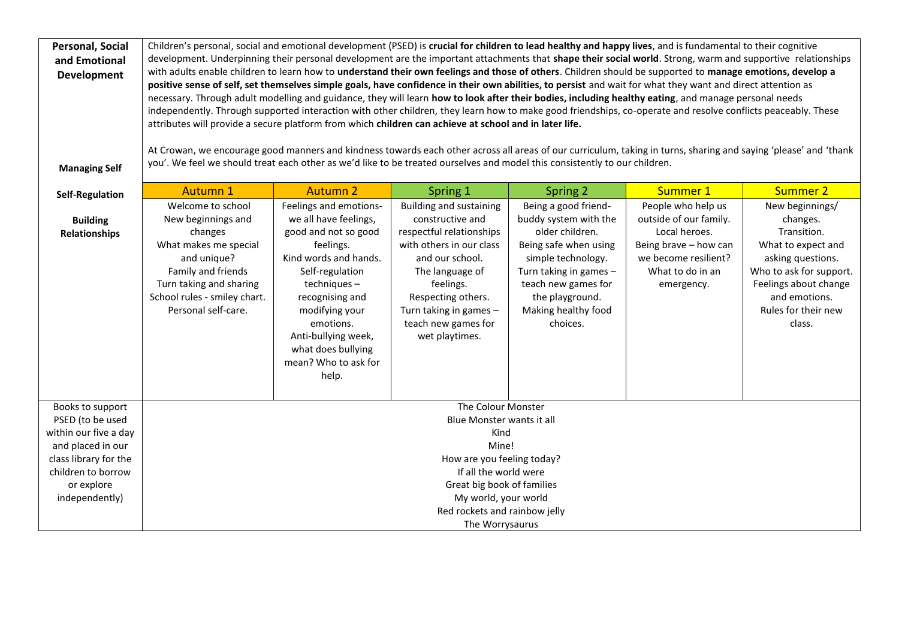| <b>Personal, Social</b><br>and Emotional<br><b>Development</b><br><b>Managing Self</b> | Children's personal, social and emotional development (PSED) is crucial for children to lead healthy and happy lives, and is fundamental to their cognitive<br>development. Underpinning their personal development are the important attachments that shape their social world. Strong, warm and supportive relationships<br>with adults enable children to learn how to understand their own feelings and those of others. Children should be supported to manage emotions, develop a<br>positive sense of self, set themselves simple goals, have confidence in their own abilities, to persist and wait for what they want and direct attention as<br>necessary. Through adult modelling and guidance, they will learn how to look after their bodies, including healthy eating, and manage personal needs<br>independently. Through supported interaction with other children, they learn how to make good friendships, co-operate and resolve conflicts peaceably. These<br>attributes will provide a secure platform from which children can achieve at school and in later life.<br>At Crowan, we encourage good manners and kindness towards each other across all areas of our curriculum, taking in turns, sharing and saying 'please' and 'thank<br>you'. We feel we should treat each other as we'd like to be treated ourselves and model this consistently to our children. |                                                                                                                                                                                                                                                                                 |                                                                                                                                                                                                                                                        |                                                                                                                                                                                                                        |                                                                                                                                                  |                                                                                                                                                                                             |
|----------------------------------------------------------------------------------------|--------------------------------------------------------------------------------------------------------------------------------------------------------------------------------------------------------------------------------------------------------------------------------------------------------------------------------------------------------------------------------------------------------------------------------------------------------------------------------------------------------------------------------------------------------------------------------------------------------------------------------------------------------------------------------------------------------------------------------------------------------------------------------------------------------------------------------------------------------------------------------------------------------------------------------------------------------------------------------------------------------------------------------------------------------------------------------------------------------------------------------------------------------------------------------------------------------------------------------------------------------------------------------------------------------------------------------------------------------------------------------------------|---------------------------------------------------------------------------------------------------------------------------------------------------------------------------------------------------------------------------------------------------------------------------------|--------------------------------------------------------------------------------------------------------------------------------------------------------------------------------------------------------------------------------------------------------|------------------------------------------------------------------------------------------------------------------------------------------------------------------------------------------------------------------------|--------------------------------------------------------------------------------------------------------------------------------------------------|---------------------------------------------------------------------------------------------------------------------------------------------------------------------------------------------|
| <b>Self-Regulation</b>                                                                 | <b>Autumn 1</b>                                                                                                                                                                                                                                                                                                                                                                                                                                                                                                                                                                                                                                                                                                                                                                                                                                                                                                                                                                                                                                                                                                                                                                                                                                                                                                                                                                            | <b>Autumn 2</b>                                                                                                                                                                                                                                                                 | Spring 1                                                                                                                                                                                                                                               | Spring 2                                                                                                                                                                                                               | Summer 1                                                                                                                                         | <b>Summer 2</b>                                                                                                                                                                             |
| <b>Building</b><br><b>Relationships</b>                                                | Welcome to school<br>New beginnings and<br>changes<br>What makes me special<br>and unique?<br>Family and friends<br>Turn taking and sharing<br>School rules - smiley chart.<br>Personal self-care.                                                                                                                                                                                                                                                                                                                                                                                                                                                                                                                                                                                                                                                                                                                                                                                                                                                                                                                                                                                                                                                                                                                                                                                         | Feelings and emotions-<br>we all have feelings,<br>good and not so good<br>feelings.<br>Kind words and hands.<br>Self-regulation<br>techniques-<br>recognising and<br>modifying your<br>emotions.<br>Anti-bullying week,<br>what does bullying<br>mean? Who to ask for<br>help. | <b>Building and sustaining</b><br>constructive and<br>respectful relationships<br>with others in our class<br>and our school.<br>The language of<br>feelings.<br>Respecting others.<br>Turn taking in games -<br>teach new games for<br>wet playtimes. | Being a good friend-<br>buddy system with the<br>older children.<br>Being safe when using<br>simple technology.<br>Turn taking in games -<br>teach new games for<br>the playground.<br>Making healthy food<br>choices. | People who help us<br>outside of our family.<br>Local heroes.<br>Being brave - how can<br>we become resilient?<br>What to do in an<br>emergency. | New beginnings/<br>changes.<br>Transition.<br>What to expect and<br>asking questions.<br>Who to ask for support.<br>Feelings about change<br>and emotions.<br>Rules for their new<br>class. |
| Books to support                                                                       |                                                                                                                                                                                                                                                                                                                                                                                                                                                                                                                                                                                                                                                                                                                                                                                                                                                                                                                                                                                                                                                                                                                                                                                                                                                                                                                                                                                            |                                                                                                                                                                                                                                                                                 | The Colour Monster                                                                                                                                                                                                                                     |                                                                                                                                                                                                                        |                                                                                                                                                  |                                                                                                                                                                                             |
| PSED (to be used<br>within our five a day                                              |                                                                                                                                                                                                                                                                                                                                                                                                                                                                                                                                                                                                                                                                                                                                                                                                                                                                                                                                                                                                                                                                                                                                                                                                                                                                                                                                                                                            |                                                                                                                                                                                                                                                                                 | Blue Monster wants it all<br>Kind                                                                                                                                                                                                                      |                                                                                                                                                                                                                        |                                                                                                                                                  |                                                                                                                                                                                             |
| and placed in our                                                                      |                                                                                                                                                                                                                                                                                                                                                                                                                                                                                                                                                                                                                                                                                                                                                                                                                                                                                                                                                                                                                                                                                                                                                                                                                                                                                                                                                                                            |                                                                                                                                                                                                                                                                                 | Mine!                                                                                                                                                                                                                                                  |                                                                                                                                                                                                                        |                                                                                                                                                  |                                                                                                                                                                                             |
| class library for the                                                                  |                                                                                                                                                                                                                                                                                                                                                                                                                                                                                                                                                                                                                                                                                                                                                                                                                                                                                                                                                                                                                                                                                                                                                                                                                                                                                                                                                                                            |                                                                                                                                                                                                                                                                                 | How are you feeling today?                                                                                                                                                                                                                             |                                                                                                                                                                                                                        |                                                                                                                                                  |                                                                                                                                                                                             |
| children to borrow                                                                     |                                                                                                                                                                                                                                                                                                                                                                                                                                                                                                                                                                                                                                                                                                                                                                                                                                                                                                                                                                                                                                                                                                                                                                                                                                                                                                                                                                                            |                                                                                                                                                                                                                                                                                 | If all the world were                                                                                                                                                                                                                                  |                                                                                                                                                                                                                        |                                                                                                                                                  |                                                                                                                                                                                             |
| or explore                                                                             |                                                                                                                                                                                                                                                                                                                                                                                                                                                                                                                                                                                                                                                                                                                                                                                                                                                                                                                                                                                                                                                                                                                                                                                                                                                                                                                                                                                            |                                                                                                                                                                                                                                                                                 | Great big book of families                                                                                                                                                                                                                             |                                                                                                                                                                                                                        |                                                                                                                                                  |                                                                                                                                                                                             |
| independently)                                                                         |                                                                                                                                                                                                                                                                                                                                                                                                                                                                                                                                                                                                                                                                                                                                                                                                                                                                                                                                                                                                                                                                                                                                                                                                                                                                                                                                                                                            |                                                                                                                                                                                                                                                                                 | My world, your world<br>Red rockets and rainbow jelly                                                                                                                                                                                                  |                                                                                                                                                                                                                        |                                                                                                                                                  |                                                                                                                                                                                             |
|                                                                                        |                                                                                                                                                                                                                                                                                                                                                                                                                                                                                                                                                                                                                                                                                                                                                                                                                                                                                                                                                                                                                                                                                                                                                                                                                                                                                                                                                                                            |                                                                                                                                                                                                                                                                                 | The Worrysaurus                                                                                                                                                                                                                                        |                                                                                                                                                                                                                        |                                                                                                                                                  |                                                                                                                                                                                             |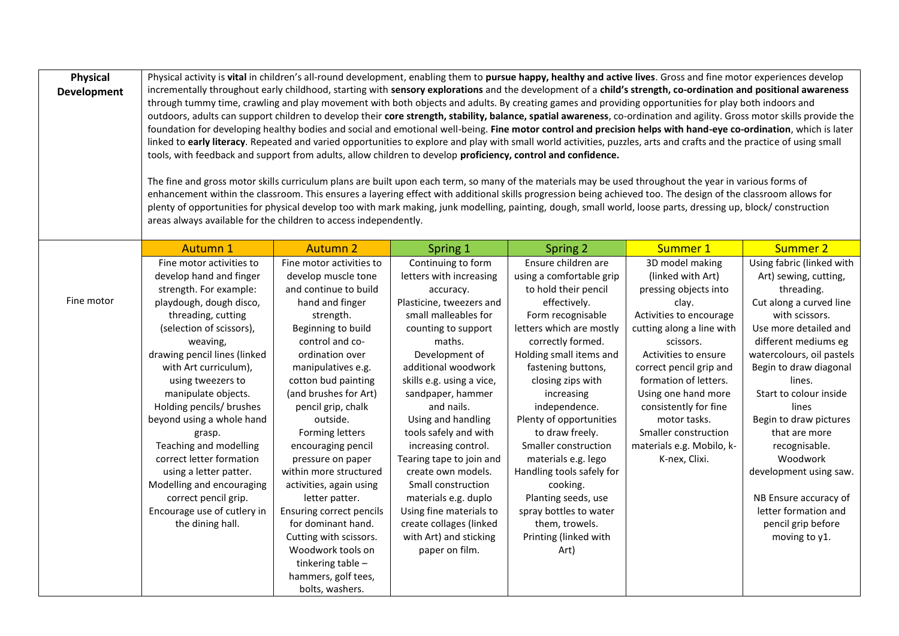| <b>Physical</b><br><b>Development</b> | Physical activity is vital in children's all-round development, enabling them to pursue happy, healthy and active lives. Gross and fine motor experiences develop<br>incrementally throughout early childhood, starting with sensory explorations and the development of a child's strength, co-ordination and positional awareness<br>through tummy time, crawling and play movement with both objects and adults. By creating games and providing opportunities for play both indoors and<br>outdoors, adults can support children to develop their core strength, stability, balance, spatial awareness, co-ordination and agility. Gross motor skills provide the<br>foundation for developing healthy bodies and social and emotional well-being. Fine motor control and precision helps with hand-eye co-ordination, which is later<br>linked to early literacy. Repeated and varied opportunities to explore and play with small world activities, puzzles, arts and crafts and the practice of using small<br>tools, with feedback and support from adults, allow children to develop proficiency, control and confidence.<br>The fine and gross motor skills curriculum plans are built upon each term, so many of the materials may be used throughout the year in various forms of<br>enhancement within the classroom. This ensures a layering effect with additional skills progression being achieved too. The design of the classroom allows for<br>plenty of opportunities for physical develop too with mark making, junk modelling, painting, dough, small world, loose parts, dressing up, block/ construction<br>areas always available for the children to access independently. |                                                                                                                                                                                                                                                                                                                                                                                                                                                                                                                                                                                          |                                                                                                                                                                                                                                                                                                                                                                                                                                                                                                                                  |                                                                                                                                                                                                                                                                                                                                                                                                                                                                                                              |                                                                                                                                                                                                                                                                                                                                                               |                                                                                                                                                                                                                                                                                                                                                                                                                                                              |
|---------------------------------------|-------------------------------------------------------------------------------------------------------------------------------------------------------------------------------------------------------------------------------------------------------------------------------------------------------------------------------------------------------------------------------------------------------------------------------------------------------------------------------------------------------------------------------------------------------------------------------------------------------------------------------------------------------------------------------------------------------------------------------------------------------------------------------------------------------------------------------------------------------------------------------------------------------------------------------------------------------------------------------------------------------------------------------------------------------------------------------------------------------------------------------------------------------------------------------------------------------------------------------------------------------------------------------------------------------------------------------------------------------------------------------------------------------------------------------------------------------------------------------------------------------------------------------------------------------------------------------------------------------------------------------------------------------------------------------------------------------|------------------------------------------------------------------------------------------------------------------------------------------------------------------------------------------------------------------------------------------------------------------------------------------------------------------------------------------------------------------------------------------------------------------------------------------------------------------------------------------------------------------------------------------------------------------------------------------|----------------------------------------------------------------------------------------------------------------------------------------------------------------------------------------------------------------------------------------------------------------------------------------------------------------------------------------------------------------------------------------------------------------------------------------------------------------------------------------------------------------------------------|--------------------------------------------------------------------------------------------------------------------------------------------------------------------------------------------------------------------------------------------------------------------------------------------------------------------------------------------------------------------------------------------------------------------------------------------------------------------------------------------------------------|---------------------------------------------------------------------------------------------------------------------------------------------------------------------------------------------------------------------------------------------------------------------------------------------------------------------------------------------------------------|--------------------------------------------------------------------------------------------------------------------------------------------------------------------------------------------------------------------------------------------------------------------------------------------------------------------------------------------------------------------------------------------------------------------------------------------------------------|
|                                       | <b>Autumn 1</b>                                                                                                                                                                                                                                                                                                                                                                                                                                                                                                                                                                                                                                                                                                                                                                                                                                                                                                                                                                                                                                                                                                                                                                                                                                                                                                                                                                                                                                                                                                                                                                                                                                                                                       | <b>Autumn 2</b>                                                                                                                                                                                                                                                                                                                                                                                                                                                                                                                                                                          | Spring 1                                                                                                                                                                                                                                                                                                                                                                                                                                                                                                                         | Spring 2                                                                                                                                                                                                                                                                                                                                                                                                                                                                                                     | Summer 1                                                                                                                                                                                                                                                                                                                                                      | Summer 2                                                                                                                                                                                                                                                                                                                                                                                                                                                     |
| Fine motor                            | Fine motor activities to<br>develop hand and finger<br>strength. For example:<br>playdough, dough disco,<br>threading, cutting<br>(selection of scissors),<br>weaving,<br>drawing pencil lines (linked<br>with Art curriculum),<br>using tweezers to<br>manipulate objects.<br>Holding pencils/ brushes<br>beyond using a whole hand<br>grasp.<br>Teaching and modelling<br>correct letter formation<br>using a letter patter.<br>Modelling and encouraging<br>correct pencil grip.<br>Encourage use of cutlery in<br>the dining hall.                                                                                                                                                                                                                                                                                                                                                                                                                                                                                                                                                                                                                                                                                                                                                                                                                                                                                                                                                                                                                                                                                                                                                                | Fine motor activities to<br>develop muscle tone<br>and continue to build<br>hand and finger<br>strength.<br>Beginning to build<br>control and co-<br>ordination over<br>manipulatives e.g.<br>cotton bud painting<br>(and brushes for Art)<br>pencil grip, chalk<br>outside.<br>Forming letters<br>encouraging pencil<br>pressure on paper<br>within more structured<br>activities, again using<br>letter patter.<br><b>Ensuring correct pencils</b><br>for dominant hand.<br>Cutting with scissors.<br>Woodwork tools on<br>tinkering table -<br>hammers, golf tees,<br>bolts, washers. | Continuing to form<br>letters with increasing<br>accuracy.<br>Plasticine, tweezers and<br>small malleables for<br>counting to support<br>maths.<br>Development of<br>additional woodwork<br>skills e.g. using a vice,<br>sandpaper, hammer<br>and nails.<br>Using and handling<br>tools safely and with<br>increasing control.<br>Tearing tape to join and<br>create own models.<br>Small construction<br>materials e.g. duplo<br>Using fine materials to<br>create collages (linked<br>with Art) and sticking<br>paper on film. | Ensure children are<br>using a comfortable grip<br>to hold their pencil<br>effectively.<br>Form recognisable<br>letters which are mostly<br>correctly formed.<br>Holding small items and<br>fastening buttons,<br>closing zips with<br>increasing<br>independence.<br>Plenty of opportunities<br>to draw freely.<br>Smaller construction<br>materials e.g. lego<br>Handling tools safely for<br>cooking.<br>Planting seeds, use<br>spray bottles to water<br>them, trowels.<br>Printing (linked with<br>Art) | 3D model making<br>(linked with Art)<br>pressing objects into<br>clay.<br>Activities to encourage<br>cutting along a line with<br>scissors.<br>Activities to ensure<br>correct pencil grip and<br>formation of letters.<br>Using one hand more<br>consistently for fine<br>motor tasks.<br>Smaller construction<br>materials e.g. Mobilo, k-<br>K-nex, Clixi. | Using fabric (linked with<br>Art) sewing, cutting,<br>threading.<br>Cut along a curved line<br>with scissors.<br>Use more detailed and<br>different mediums eg<br>watercolours, oil pastels<br>Begin to draw diagonal<br>lines.<br>Start to colour inside<br>lines<br>Begin to draw pictures<br>that are more<br>recognisable.<br>Woodwork<br>development using saw.<br>NB Ensure accuracy of<br>letter formation and<br>pencil grip before<br>moving to y1. |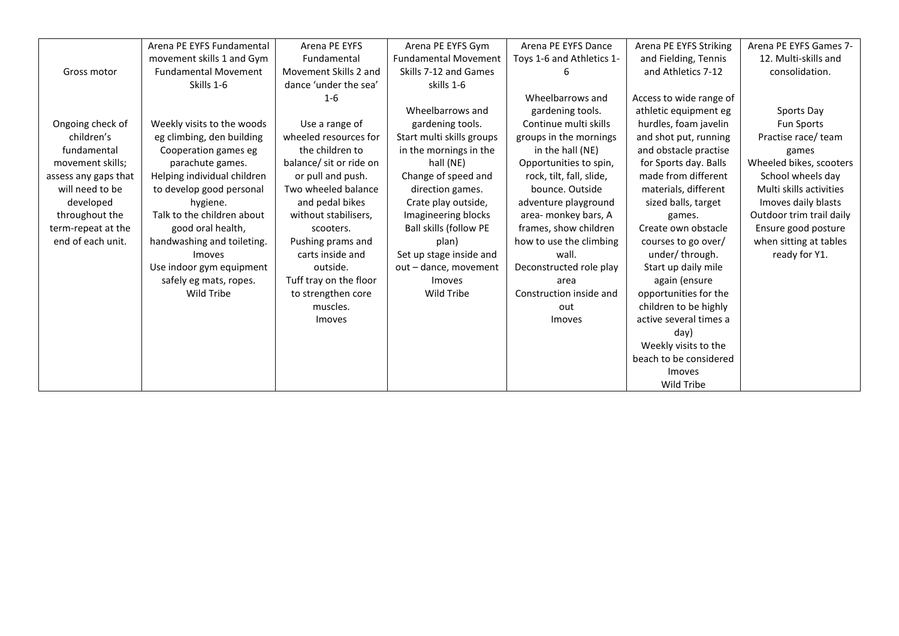|                      | Arena PE EYFS Fundamental   | Arena PE EYFS           | Arena PE EYFS Gym             | Arena PE EYFS Dance       | Arena PE EYFS Striking  | Arena PE EYFS Games 7-   |
|----------------------|-----------------------------|-------------------------|-------------------------------|---------------------------|-------------------------|--------------------------|
|                      | movement skills 1 and Gym   | Fundamental             | <b>Fundamental Movement</b>   | Toys 1-6 and Athletics 1- | and Fielding, Tennis    | 12. Multi-skills and     |
| Gross motor          | <b>Fundamental Movement</b> | Movement Skills 2 and   | Skills 7-12 and Games         |                           | and Athletics 7-12      | consolidation.           |
|                      | Skills 1-6                  | dance 'under the sea'   | skills 1-6                    |                           |                         |                          |
|                      |                             | $1 - 6$                 |                               | Wheelbarrows and          | Access to wide range of |                          |
|                      |                             |                         | Wheelbarrows and              | gardening tools.          | athletic equipment eg   | Sports Day               |
| Ongoing check of     | Weekly visits to the woods  | Use a range of          | gardening tools.              | Continue multi skills     | hurdles, foam javelin   | <b>Fun Sports</b>        |
| children's           | eg climbing, den building   | wheeled resources for   | Start multi skills groups     | groups in the mornings    | and shot put, running   | Practise race/ team      |
| fundamental          | Cooperation games eg        | the children to         | in the mornings in the        | in the hall (NE)          | and obstacle practise   | games                    |
| movement skills;     | parachute games.            | balance/ sit or ride on | hall (NE)                     | Opportunities to spin,    | for Sports day. Balls   | Wheeled bikes, scooters  |
| assess any gaps that | Helping individual children | or pull and push.       | Change of speed and           | rock, tilt, fall, slide,  | made from different     | School wheels day        |
| will need to be      | to develop good personal    | Two wheeled balance     | direction games.              | bounce. Outside           | materials, different    | Multi skills activities  |
| developed            | hygiene.                    | and pedal bikes         | Crate play outside,           | adventure playground      | sized balls, target     | Imoves daily blasts      |
| throughout the       | Talk to the children about  | without stabilisers,    | Imagineering blocks           | area- monkey bars, A      | games.                  | Outdoor trim trail daily |
| term-repeat at the   | good oral health,           | scooters.               | <b>Ball skills (follow PE</b> | frames, show children     | Create own obstacle     | Ensure good posture      |
| end of each unit.    | handwashing and toileting.  | Pushing prams and       | plan)                         | how to use the climbing   | courses to go over/     | when sitting at tables   |
|                      | Imoves                      | carts inside and        | Set up stage inside and       | wall.                     | under/through.          | ready for Y1.            |
|                      | Use indoor gym equipment    | outside.                | out – dance, movement         | Deconstructed role play   | Start up daily mile     |                          |
|                      | safely eg mats, ropes.      | Tuff tray on the floor  | <i>Imoves</i>                 | area                      | again (ensure           |                          |
|                      | Wild Tribe                  | to strengthen core      | Wild Tribe                    | Construction inside and   | opportunities for the   |                          |
|                      |                             | muscles.                |                               | out                       | children to be highly   |                          |
|                      |                             | Imoves                  |                               | Imoves                    | active several times a  |                          |
|                      |                             |                         |                               |                           | day)                    |                          |
|                      |                             |                         |                               |                           | Weekly visits to the    |                          |
|                      |                             |                         |                               |                           | beach to be considered  |                          |
|                      |                             |                         |                               |                           | Imoves                  |                          |
|                      |                             |                         |                               |                           | <b>Wild Tribe</b>       |                          |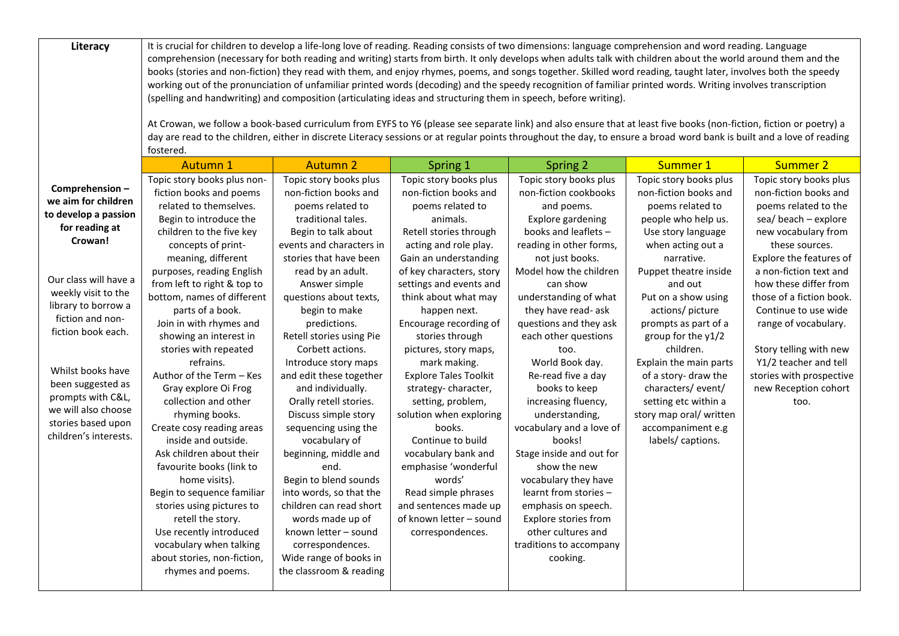| <b>Autumn 1</b><br><b>Autumn 2</b><br>Summer 1<br><b>Summer 2</b><br><b>Spring 2</b><br>Spring 1<br>Topic story books plus<br>Topic story books plus<br>Topic story books plus<br>Topic story books plus<br>Topic story books plus non-<br>Comprehension-<br>non-fiction books and<br>fiction books and poems<br>non-fiction books and<br>non-fiction books and<br>non-fiction cookbooks<br>we aim for children<br>related to themselves.<br>poems related to<br>and poems.<br>poems related to<br>poems related to<br>to develop a passion<br>Begin to introduce the<br>traditional tales.<br>animals.<br>Explore gardening<br>people who help us.<br>for reading at<br>children to the five key<br>books and leaflets -<br>Begin to talk about<br>Retell stories through<br>Use story language<br>Crowan!<br>concepts of print-<br>events and characters in<br>acting and role play.<br>reading in other forms,<br>when acting out a<br>these sources.<br>meaning, different<br>stories that have been<br>Gain an understanding<br>not just books.<br>narrative.<br>purposes, reading English<br>read by an adult.<br>of key characters, story<br>Model how the children<br>Puppet theatre inside<br>Our class will have a<br>from left to right & top to<br>Answer simple<br>settings and events and<br>can show<br>and out<br>weekly visit to the<br>bottom, names of different<br>think about what may<br>questions about texts,<br>understanding of what<br>Put on a show using<br>library to borrow a<br>parts of a book.<br>begin to make<br>happen next.<br>they have read- ask<br>actions/ picture<br>fiction and non-<br>Join in with rhymes and<br>questions and they ask<br>predictions.<br>Encourage recording of<br>prompts as part of a<br>fiction book each.<br>showing an interest in<br>Retell stories using Pie<br>stories through<br>each other questions<br>group for the y1/2<br>stories with repeated<br>Corbett actions.<br>children.<br>pictures, story maps,<br>too.<br>refrains.<br>Introduce story maps<br>mark making.<br>World Book day.<br>Explain the main parts<br>Whilst books have<br>Author of the Term - Kes<br>and edit these together<br><b>Explore Tales Toolkit</b><br>Re-read five a day<br>of a story- draw the<br>been suggested as<br>characters/event/<br>Gray explore Oi Frog<br>and individually.<br>strategy-character,<br>books to keep<br>prompts with C&L,<br>Orally retell stories.<br>increasing fluency,<br>collection and other<br>setting, problem,<br>setting etc within a<br>too.<br>we will also choose<br>Discuss simple story<br>solution when exploring<br>understanding,<br>story map oral/ written<br>rhyming books.<br>stories based upon<br>Create cosy reading areas<br>sequencing using the<br>books.<br>vocabulary and a love of<br>accompaniment e.g<br>children's interests.<br>Continue to build<br>inside and outside.<br>vocabulary of<br>books!<br>labels/ captions.<br>Ask children about their<br>beginning, middle and<br>vocabulary bank and<br>Stage inside and out for<br>emphasise 'wonderful<br>show the new<br>favourite books (link to<br>end. | Literacy | It is crucial for children to develop a life-long love of reading. Reading consists of two dimensions: language comprehension and word reading. Language<br>comprehension (necessary for both reading and writing) starts from birth. It only develops when adults talk with children about the world around them and the<br>books (stories and non-fiction) they read with them, and enjoy rhymes, poems, and songs together. Skilled word reading, taught later, involves both the speedy<br>working out of the pronunciation of unfamiliar printed words (decoding) and the speedy recognition of familiar printed words. Writing involves transcription<br>(spelling and handwriting) and composition (articulating ideas and structuring them in speech, before writing).<br>At Crowan, we follow a book-based curriculum from EYFS to Y6 (please see separate link) and also ensure that at least five books (non-fiction, fiction or poetry) a<br>day are read to the children, either in discrete Literacy sessions or at regular points throughout the day, to ensure a broad word bank is built and a love of reading<br>fostered. |                       |        |                      |                                                                                                                                                                                                                                                                                                                                                                                        |
|---------------------------------------------------------------------------------------------------------------------------------------------------------------------------------------------------------------------------------------------------------------------------------------------------------------------------------------------------------------------------------------------------------------------------------------------------------------------------------------------------------------------------------------------------------------------------------------------------------------------------------------------------------------------------------------------------------------------------------------------------------------------------------------------------------------------------------------------------------------------------------------------------------------------------------------------------------------------------------------------------------------------------------------------------------------------------------------------------------------------------------------------------------------------------------------------------------------------------------------------------------------------------------------------------------------------------------------------------------------------------------------------------------------------------------------------------------------------------------------------------------------------------------------------------------------------------------------------------------------------------------------------------------------------------------------------------------------------------------------------------------------------------------------------------------------------------------------------------------------------------------------------------------------------------------------------------------------------------------------------------------------------------------------------------------------------------------------------------------------------------------------------------------------------------------------------------------------------------------------------------------------------------------------------------------------------------------------------------------------------------------------------------------------------------------------------------------------------------------------------------------------------------------------------------------------------------------------------------------------------------------------------------------------------------------------------------------------------------------------------------------------------------------------------------------------------------------------------------------------------------------------------------------------------------------------------------------------------------------------------------------------------------------------------------------------------------------------------------------------------------------------|----------|----------------------------------------------------------------------------------------------------------------------------------------------------------------------------------------------------------------------------------------------------------------------------------------------------------------------------------------------------------------------------------------------------------------------------------------------------------------------------------------------------------------------------------------------------------------------------------------------------------------------------------------------------------------------------------------------------------------------------------------------------------------------------------------------------------------------------------------------------------------------------------------------------------------------------------------------------------------------------------------------------------------------------------------------------------------------------------------------------------------------------------------------|-----------------------|--------|----------------------|----------------------------------------------------------------------------------------------------------------------------------------------------------------------------------------------------------------------------------------------------------------------------------------------------------------------------------------------------------------------------------------|
|                                                                                                                                                                                                                                                                                                                                                                                                                                                                                                                                                                                                                                                                                                                                                                                                                                                                                                                                                                                                                                                                                                                                                                                                                                                                                                                                                                                                                                                                                                                                                                                                                                                                                                                                                                                                                                                                                                                                                                                                                                                                                                                                                                                                                                                                                                                                                                                                                                                                                                                                                                                                                                                                                                                                                                                                                                                                                                                                                                                                                                                                                                                                       |          |                                                                                                                                                                                                                                                                                                                                                                                                                                                                                                                                                                                                                                                                                                                                                                                                                                                                                                                                                                                                                                                                                                                                              |                       |        |                      |                                                                                                                                                                                                                                                                                                                                                                                        |
| Begin to sequence familiar<br>into words, so that the<br>learnt from stories -<br>Read simple phrases<br>stories using pictures to<br>children can read short<br>and sentences made up<br>emphasis on speech.<br>of known letter - sound<br>Explore stories from<br>retell the story.<br>words made up of<br>Use recently introduced<br>known letter - sound<br>correspondences.<br>other cultures and<br>vocabulary when talking<br>correspondences.<br>traditions to accompany<br>about stories, non-fiction,<br>Wide range of books in<br>cooking.                                                                                                                                                                                                                                                                                                                                                                                                                                                                                                                                                                                                                                                                                                                                                                                                                                                                                                                                                                                                                                                                                                                                                                                                                                                                                                                                                                                                                                                                                                                                                                                                                                                                                                                                                                                                                                                                                                                                                                                                                                                                                                                                                                                                                                                                                                                                                                                                                                                                                                                                                                                 |          | home visits).                                                                                                                                                                                                                                                                                                                                                                                                                                                                                                                                                                                                                                                                                                                                                                                                                                                                                                                                                                                                                                                                                                                                | Begin to blend sounds | words' | vocabulary they have | Topic story books plus<br>non-fiction books and<br>poems related to the<br>sea/beach - explore<br>new vocabulary from<br>Explore the features of<br>a non-fiction text and<br>how these differ from<br>those of a fiction book.<br>Continue to use wide<br>range of vocabulary.<br>Story telling with new<br>Y1/2 teacher and tell<br>stories with prospective<br>new Reception cohort |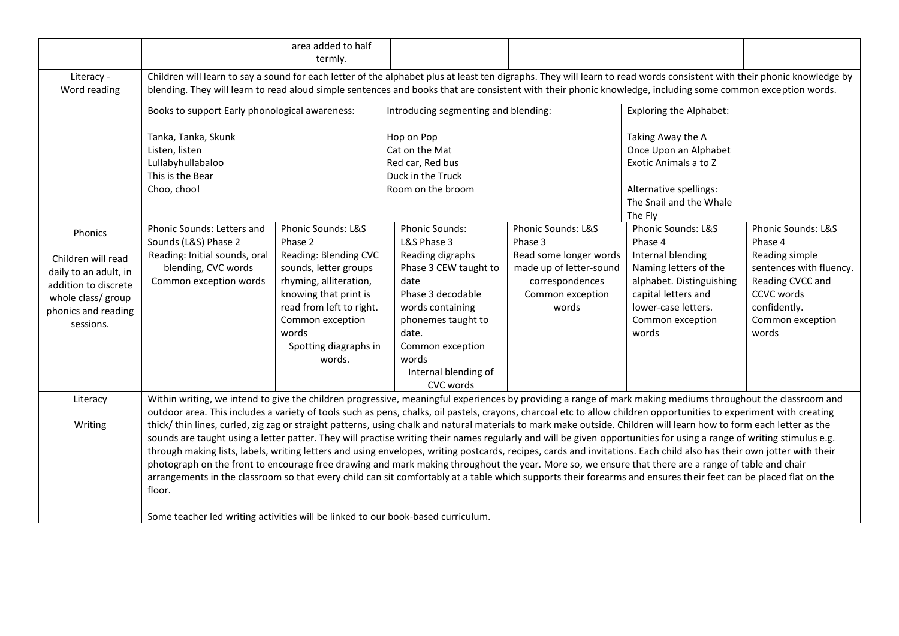|                            |                                                                                                                                                                                                                                                                                                                                      | area added to half<br>termly. |                                      |                         |                                |                         |
|----------------------------|--------------------------------------------------------------------------------------------------------------------------------------------------------------------------------------------------------------------------------------------------------------------------------------------------------------------------------------|-------------------------------|--------------------------------------|-------------------------|--------------------------------|-------------------------|
| Literacy -<br>Word reading | Children will learn to say a sound for each letter of the alphabet plus at least ten digraphs. They will learn to read words consistent with their phonic knowledge by<br>blending. They will learn to read aloud simple sentences and books that are consistent with their phonic knowledge, including some common exception words. |                               |                                      |                         |                                |                         |
|                            | Books to support Early phonological awareness:                                                                                                                                                                                                                                                                                       |                               | Introducing segmenting and blending: |                         | <b>Exploring the Alphabet:</b> |                         |
|                            | Tanka, Tanka, Skunk                                                                                                                                                                                                                                                                                                                  |                               | Hop on Pop                           |                         | Taking Away the A              |                         |
|                            | Listen, listen                                                                                                                                                                                                                                                                                                                       |                               | Cat on the Mat                       |                         | Once Upon an Alphabet          |                         |
|                            | Lullabyhullabaloo                                                                                                                                                                                                                                                                                                                    |                               | Red car, Red bus                     |                         | Exotic Animals a to Z          |                         |
|                            | This is the Bear                                                                                                                                                                                                                                                                                                                     |                               | Duck in the Truck                    |                         |                                |                         |
|                            | Choo, choo!                                                                                                                                                                                                                                                                                                                          |                               | Room on the broom                    |                         | Alternative spellings:         |                         |
|                            |                                                                                                                                                                                                                                                                                                                                      |                               |                                      |                         | The Snail and the Whale        |                         |
|                            |                                                                                                                                                                                                                                                                                                                                      |                               |                                      |                         | The Fly                        |                         |
| Phonics                    | Phonic Sounds: Letters and                                                                                                                                                                                                                                                                                                           | Phonic Sounds: L&S            | Phonic Sounds:                       | Phonic Sounds: L&S      | Phonic Sounds: L&S             | Phonic Sounds: L&S      |
|                            | Sounds (L&S) Phase 2                                                                                                                                                                                                                                                                                                                 | Phase 2                       | L&S Phase 3                          | Phase 3                 | Phase 4                        | Phase 4                 |
| Children will read         | Reading: Initial sounds, oral                                                                                                                                                                                                                                                                                                        | Reading: Blending CVC         | Reading digraphs                     | Read some longer words  | Internal blending              | Reading simple          |
| daily to an adult, in      | blending, CVC words                                                                                                                                                                                                                                                                                                                  | sounds, letter groups         | Phase 3 CEW taught to                | made up of letter-sound | Naming letters of the          | sentences with fluency. |
| addition to discrete       | Common exception words                                                                                                                                                                                                                                                                                                               | rhyming, alliteration,        | date                                 | correspondences         | alphabet. Distinguishing       | Reading CVCC and        |
| whole class/ group         |                                                                                                                                                                                                                                                                                                                                      | knowing that print is         | Phase 3 decodable                    | Common exception        | capital letters and            | CCVC words              |
| phonics and reading        |                                                                                                                                                                                                                                                                                                                                      | read from left to right.      | words containing                     | words                   | lower-case letters.            | confidently.            |
| sessions.                  |                                                                                                                                                                                                                                                                                                                                      | Common exception              | phonemes taught to                   |                         | Common exception               | Common exception        |
|                            |                                                                                                                                                                                                                                                                                                                                      | words                         | date.                                |                         | words                          | words                   |
|                            |                                                                                                                                                                                                                                                                                                                                      | Spotting diagraphs in         | Common exception                     |                         |                                |                         |
|                            |                                                                                                                                                                                                                                                                                                                                      | words.                        | words                                |                         |                                |                         |
|                            |                                                                                                                                                                                                                                                                                                                                      |                               | Internal blending of                 |                         |                                |                         |
|                            |                                                                                                                                                                                                                                                                                                                                      |                               | CVC words                            |                         |                                |                         |
| Literacy                   | Within writing, we intend to give the children progressive, meaningful experiences by providing a range of mark making mediums throughout the classroom and                                                                                                                                                                          |                               |                                      |                         |                                |                         |
|                            | outdoor area. This includes a variety of tools such as pens, chalks, oil pastels, crayons, charcoal etc to allow children opportunities to experiment with creating                                                                                                                                                                  |                               |                                      |                         |                                |                         |
| Writing                    | thick/thin lines, curled, zig zag or straight patterns, using chalk and natural materials to mark make outside. Children will learn how to form each letter as the                                                                                                                                                                   |                               |                                      |                         |                                |                         |
|                            | sounds are taught using a letter patter. They will practise writing their names regularly and will be given opportunities for using a range of writing stimulus e.g.                                                                                                                                                                 |                               |                                      |                         |                                |                         |
|                            | through making lists, labels, writing letters and using envelopes, writing postcards, recipes, cards and invitations. Each child also has their own jotter with their                                                                                                                                                                |                               |                                      |                         |                                |                         |
|                            | photograph on the front to encourage free drawing and mark making throughout the year. More so, we ensure that there are a range of table and chair                                                                                                                                                                                  |                               |                                      |                         |                                |                         |
|                            | arrangements in the classroom so that every child can sit comfortably at a table which supports their forearms and ensures their feet can be placed flat on the                                                                                                                                                                      |                               |                                      |                         |                                |                         |
|                            | floor.                                                                                                                                                                                                                                                                                                                               |                               |                                      |                         |                                |                         |
|                            |                                                                                                                                                                                                                                                                                                                                      |                               |                                      |                         |                                |                         |
|                            | Some teacher led writing activities will be linked to our book-based curriculum.                                                                                                                                                                                                                                                     |                               |                                      |                         |                                |                         |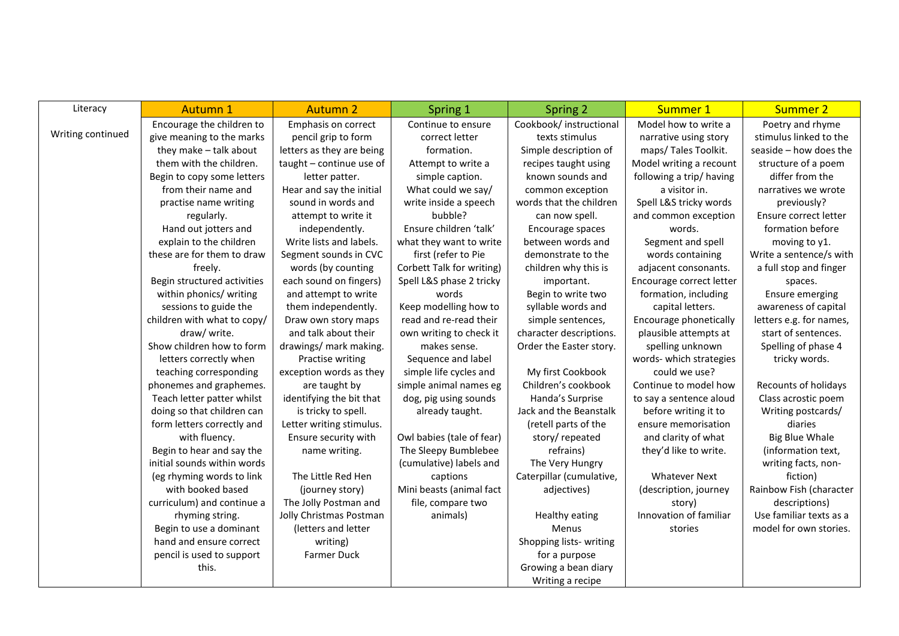| Literacy          | <b>Autumn 1</b>             | <b>Autumn 2</b>           | Spring 1                  | Spring 2                 | Summer 1                 | <b>Summer 2</b>         |
|-------------------|-----------------------------|---------------------------|---------------------------|--------------------------|--------------------------|-------------------------|
|                   | Encourage the children to   | Emphasis on correct       | Continue to ensure        | Cookbook/ instructional  | Model how to write a     | Poetry and rhyme        |
| Writing continued | give meaning to the marks   | pencil grip to form       | correct letter            | texts stimulus           | narrative using story    | stimulus linked to the  |
|                   | they make - talk about      | letters as they are being | formation.                | Simple description of    | maps/ Tales Toolkit.     | seaside - how does the  |
|                   | them with the children.     | taught - continue use of  | Attempt to write a        | recipes taught using     | Model writing a recount  | structure of a poem     |
|                   | Begin to copy some letters  | letter patter.            | simple caption.           | known sounds and         | following a trip/having  | differ from the         |
|                   | from their name and         | Hear and say the initial  | What could we say/        | common exception         | a visitor in.            | narratives we wrote     |
|                   | practise name writing       | sound in words and        | write inside a speech     | words that the children  | Spell L&S tricky words   | previously?             |
|                   | regularly.                  | attempt to write it       | bubble?                   | can now spell.           | and common exception     | Ensure correct letter   |
|                   | Hand out jotters and        | independently.            | Ensure children 'talk'    | Encourage spaces         | words.                   | formation before        |
|                   | explain to the children     | Write lists and labels.   | what they want to write   | between words and        | Segment and spell        | moving to y1.           |
|                   | these are for them to draw  | Segment sounds in CVC     | first (refer to Pie       | demonstrate to the       | words containing         | Write a sentence/s with |
|                   | freely.                     | words (by counting        | Corbett Talk for writing) | children why this is     | adjacent consonants.     | a full stop and finger  |
|                   | Begin structured activities | each sound on fingers)    | Spell L&S phase 2 tricky  | important.               | Encourage correct letter | spaces.                 |
|                   | within phonics/ writing     | and attempt to write      | words                     | Begin to write two       | formation, including     | <b>Ensure emerging</b>  |
|                   | sessions to guide the       | them independently.       | Keep modelling how to     | syllable words and       | capital letters.         | awareness of capital    |
|                   | children with what to copy/ | Draw own story maps       | read and re-read their    | simple sentences,        | Encourage phonetically   | letters e.g. for names, |
|                   | draw/ write.                | and talk about their      | own writing to check it   | character descriptions.  | plausible attempts at    | start of sentences.     |
|                   | Show children how to form   | drawings/ mark making.    | makes sense.              | Order the Easter story.  | spelling unknown         | Spelling of phase 4     |
|                   | letters correctly when      | Practise writing          | Sequence and label        |                          | words- which strategies  | tricky words.           |
|                   | teaching corresponding      | exception words as they   | simple life cycles and    | My first Cookbook        | could we use?            |                         |
|                   | phonemes and graphemes.     | are taught by             | simple animal names eg    | Children's cookbook      | Continue to model how    | Recounts of holidays    |
|                   | Teach letter patter whilst  | identifying the bit that  | dog, pig using sounds     | Handa's Surprise         | to say a sentence aloud  | Class acrostic poem     |
|                   | doing so that children can  | is tricky to spell.       | already taught.           | Jack and the Beanstalk   | before writing it to     | Writing postcards/      |
|                   | form letters correctly and  | Letter writing stimulus.  |                           | (retell parts of the     | ensure memorisation      | diaries                 |
|                   | with fluency.               | Ensure security with      | Owl babies (tale of fear) | story/repeated           | and clarity of what      | <b>Big Blue Whale</b>   |
|                   | Begin to hear and say the   | name writing.             | The Sleepy Bumblebee      | refrains)                | they'd like to write.    | (information text,      |
|                   | initial sounds within words |                           | (cumulative) labels and   | The Very Hungry          |                          | writing facts, non-     |
|                   | (eg rhyming words to link   | The Little Red Hen        | captions                  | Caterpillar (cumulative, | <b>Whatever Next</b>     | fiction)                |
|                   | with booked based           | (journey story)           | Mini beasts (animal fact  | adjectives)              | (description, journey    | Rainbow Fish (character |
|                   | curriculum) and continue a  | The Jolly Postman and     | file, compare two         |                          | story)                   | descriptions)           |
|                   | rhyming string.             | Jolly Christmas Postman   | animals)                  | Healthy eating           | Innovation of familiar   | Use familiar texts as a |
|                   | Begin to use a dominant     | (letters and letter       |                           | Menus                    | stories                  | model for own stories.  |
|                   | hand and ensure correct     | writing)                  |                           | Shopping lists-writing   |                          |                         |
|                   | pencil is used to support   | <b>Farmer Duck</b>        |                           | for a purpose            |                          |                         |
|                   | this.                       |                           |                           | Growing a bean diary     |                          |                         |
|                   |                             |                           |                           | Writing a recipe         |                          |                         |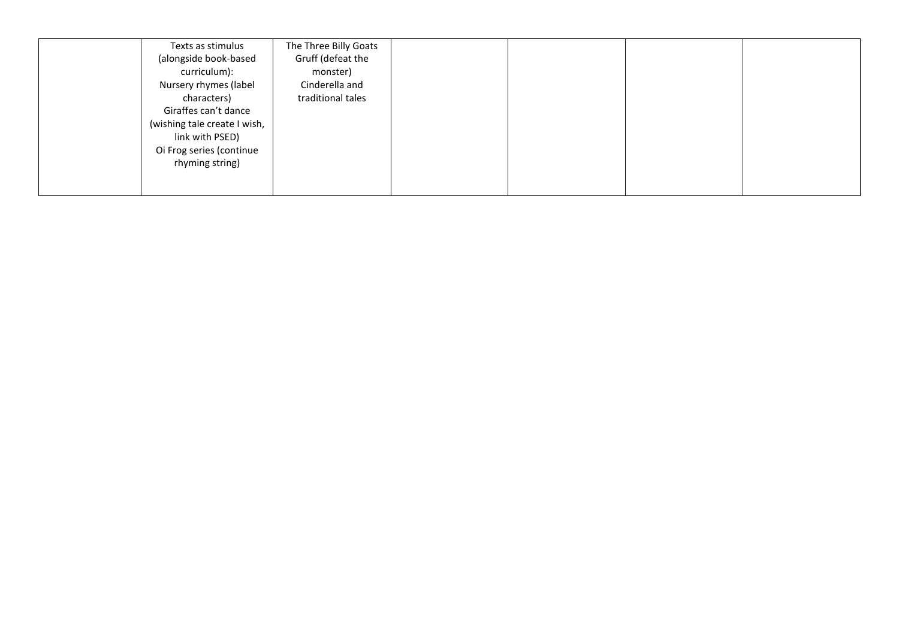| Texts as stimulus            | The Three Billy Goats |
|------------------------------|-----------------------|
| (alongside book-based        | Gruff (defeat the     |
| curriculum):                 | monster)              |
| Nursery rhymes (label        | Cinderella and        |
| characters)                  | traditional tales     |
| Giraffes can't dance         |                       |
| (wishing tale create I wish, |                       |
| link with PSED)              |                       |
| Oi Frog series (continue     |                       |
| rhyming string)              |                       |
|                              |                       |
|                              |                       |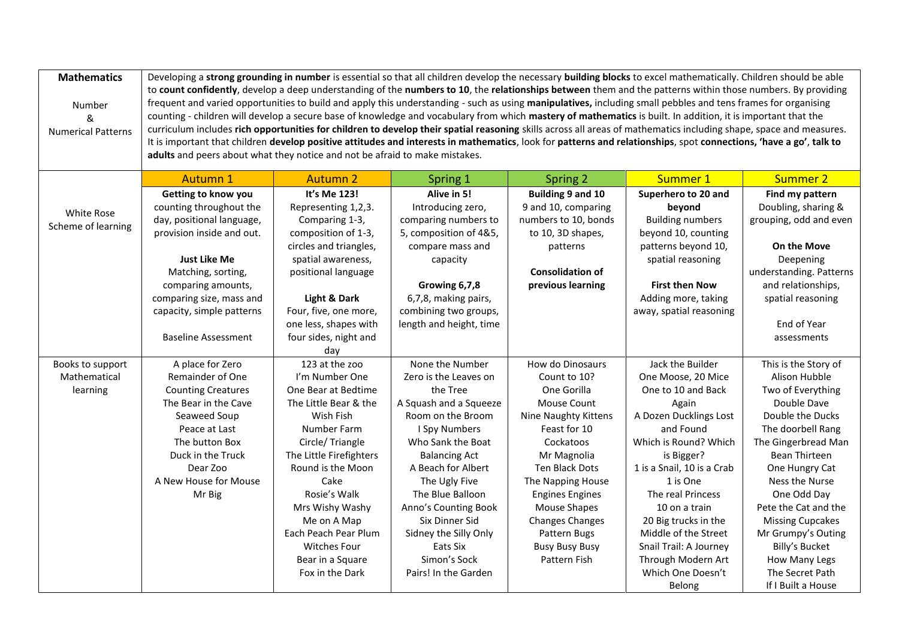| <b>Mathematics</b><br>Number<br>&<br><b>Numerical Patterns</b> | Developing a strong grounding in number is essential so that all children develop the necessary building blocks to excel mathematically. Children should be able<br>to count confidently, develop a deep understanding of the numbers to 10, the relationships between them and the patterns within those numbers. By providing<br>frequent and varied opportunities to build and apply this understanding - such as using manipulatives, including small pebbles and tens frames for organising<br>counting - children will develop a secure base of knowledge and vocabulary from which mastery of mathematics is built. In addition, it is important that the<br>curriculum includes rich opportunities for children to develop their spatial reasoning skills across all areas of mathematics including shape, space and measures.<br>It is important that children develop positive attitudes and interests in mathematics, look for patterns and relationships, spot connections, 'have a go', talk to<br>adults and peers about what they notice and not be afraid to make mistakes. |                         |                         |                                  |                            |                                       |
|----------------------------------------------------------------|---------------------------------------------------------------------------------------------------------------------------------------------------------------------------------------------------------------------------------------------------------------------------------------------------------------------------------------------------------------------------------------------------------------------------------------------------------------------------------------------------------------------------------------------------------------------------------------------------------------------------------------------------------------------------------------------------------------------------------------------------------------------------------------------------------------------------------------------------------------------------------------------------------------------------------------------------------------------------------------------------------------------------------------------------------------------------------------------|-------------------------|-------------------------|----------------------------------|----------------------------|---------------------------------------|
|                                                                | <b>Autumn 1</b>                                                                                                                                                                                                                                                                                                                                                                                                                                                                                                                                                                                                                                                                                                                                                                                                                                                                                                                                                                                                                                                                             | <b>Autumn 2</b>         | Spring 1                | Spring 2                         | Summer 1                   | <b>Summer 2</b>                       |
|                                                                | Getting to know you                                                                                                                                                                                                                                                                                                                                                                                                                                                                                                                                                                                                                                                                                                                                                                                                                                                                                                                                                                                                                                                                         | It's Me 123!            | Alive in 5!             | Building 9 and 10                | Superhero to 20 and        | Find my pattern                       |
| White Rose                                                     | counting throughout the                                                                                                                                                                                                                                                                                                                                                                                                                                                                                                                                                                                                                                                                                                                                                                                                                                                                                                                                                                                                                                                                     | Representing 1,2,3.     | Introducing zero,       | 9 and 10, comparing              | beyond                     | Doubling, sharing &                   |
| Scheme of learning                                             | day, positional language,                                                                                                                                                                                                                                                                                                                                                                                                                                                                                                                                                                                                                                                                                                                                                                                                                                                                                                                                                                                                                                                                   | Comparing 1-3,          | comparing numbers to    | numbers to 10, bonds             | <b>Building numbers</b>    | grouping, odd and even                |
|                                                                | provision inside and out.                                                                                                                                                                                                                                                                                                                                                                                                                                                                                                                                                                                                                                                                                                                                                                                                                                                                                                                                                                                                                                                                   | composition of 1-3,     | 5, composition of 4&5,  | to 10, 3D shapes,                | beyond 10, counting        |                                       |
|                                                                |                                                                                                                                                                                                                                                                                                                                                                                                                                                                                                                                                                                                                                                                                                                                                                                                                                                                                                                                                                                                                                                                                             | circles and triangles,  | compare mass and        | patterns                         | patterns beyond 10,        | <b>On the Move</b>                    |
|                                                                | <b>Just Like Me</b>                                                                                                                                                                                                                                                                                                                                                                                                                                                                                                                                                                                                                                                                                                                                                                                                                                                                                                                                                                                                                                                                         | spatial awareness,      | capacity                |                                  | spatial reasoning          | Deepening                             |
|                                                                | Matching, sorting,                                                                                                                                                                                                                                                                                                                                                                                                                                                                                                                                                                                                                                                                                                                                                                                                                                                                                                                                                                                                                                                                          | positional language     |                         | <b>Consolidation of</b>          |                            | understanding. Patterns               |
|                                                                | comparing amounts,                                                                                                                                                                                                                                                                                                                                                                                                                                                                                                                                                                                                                                                                                                                                                                                                                                                                                                                                                                                                                                                                          |                         | Growing 6,7,8           | previous learning                | <b>First then Now</b>      | and relationships,                    |
|                                                                | comparing size, mass and                                                                                                                                                                                                                                                                                                                                                                                                                                                                                                                                                                                                                                                                                                                                                                                                                                                                                                                                                                                                                                                                    | Light & Dark            | 6,7,8, making pairs,    |                                  | Adding more, taking        | spatial reasoning                     |
|                                                                | capacity, simple patterns                                                                                                                                                                                                                                                                                                                                                                                                                                                                                                                                                                                                                                                                                                                                                                                                                                                                                                                                                                                                                                                                   | Four, five, one more,   | combining two groups,   |                                  | away, spatial reasoning    |                                       |
|                                                                |                                                                                                                                                                                                                                                                                                                                                                                                                                                                                                                                                                                                                                                                                                                                                                                                                                                                                                                                                                                                                                                                                             | one less, shapes with   | length and height, time |                                  |                            | End of Year                           |
|                                                                | <b>Baseline Assessment</b>                                                                                                                                                                                                                                                                                                                                                                                                                                                                                                                                                                                                                                                                                                                                                                                                                                                                                                                                                                                                                                                                  | four sides, night and   |                         |                                  |                            | assessments                           |
|                                                                |                                                                                                                                                                                                                                                                                                                                                                                                                                                                                                                                                                                                                                                                                                                                                                                                                                                                                                                                                                                                                                                                                             | day<br>123 at the zoo   | None the Number         |                                  | Jack the Builder           |                                       |
| Books to support<br>Mathematical                               | A place for Zero<br>Remainder of One                                                                                                                                                                                                                                                                                                                                                                                                                                                                                                                                                                                                                                                                                                                                                                                                                                                                                                                                                                                                                                                        | I'm Number One          | Zero is the Leaves on   | How do Dinosaurs<br>Count to 10? | One Moose, 20 Mice         | This is the Story of<br>Alison Hubble |
| learning                                                       | <b>Counting Creatures</b>                                                                                                                                                                                                                                                                                                                                                                                                                                                                                                                                                                                                                                                                                                                                                                                                                                                                                                                                                                                                                                                                   | One Bear at Bedtime     | the Tree                | One Gorilla                      | One to 10 and Back         | Two of Everything                     |
|                                                                | The Bear in the Cave                                                                                                                                                                                                                                                                                                                                                                                                                                                                                                                                                                                                                                                                                                                                                                                                                                                                                                                                                                                                                                                                        | The Little Bear & the   | A Squash and a Squeeze  | Mouse Count                      | Again                      | Double Dave                           |
|                                                                | Seaweed Soup                                                                                                                                                                                                                                                                                                                                                                                                                                                                                                                                                                                                                                                                                                                                                                                                                                                                                                                                                                                                                                                                                | Wish Fish               | Room on the Broom       | Nine Naughty Kittens             | A Dozen Ducklings Lost     | Double the Ducks                      |
|                                                                | Peace at Last                                                                                                                                                                                                                                                                                                                                                                                                                                                                                                                                                                                                                                                                                                                                                                                                                                                                                                                                                                                                                                                                               | Number Farm             | I Spy Numbers           | Feast for 10                     | and Found                  | The doorbell Rang                     |
|                                                                | The button Box                                                                                                                                                                                                                                                                                                                                                                                                                                                                                                                                                                                                                                                                                                                                                                                                                                                                                                                                                                                                                                                                              | Circle/Triangle         | Who Sank the Boat       | Cockatoos                        | Which is Round? Which      | The Gingerbread Man                   |
|                                                                | Duck in the Truck                                                                                                                                                                                                                                                                                                                                                                                                                                                                                                                                                                                                                                                                                                                                                                                                                                                                                                                                                                                                                                                                           | The Little Firefighters | <b>Balancing Act</b>    | Mr Magnolia                      | is Bigger?                 | Bean Thirteen                         |
|                                                                | Dear Zoo                                                                                                                                                                                                                                                                                                                                                                                                                                                                                                                                                                                                                                                                                                                                                                                                                                                                                                                                                                                                                                                                                    | Round is the Moon       | A Beach for Albert      | Ten Black Dots                   | 1 is a Snail, 10 is a Crab | One Hungry Cat                        |
|                                                                | A New House for Mouse                                                                                                                                                                                                                                                                                                                                                                                                                                                                                                                                                                                                                                                                                                                                                                                                                                                                                                                                                                                                                                                                       | Cake                    | The Ugly Five           | The Napping House                | 1 is One                   | Ness the Nurse                        |
|                                                                | Mr Big                                                                                                                                                                                                                                                                                                                                                                                                                                                                                                                                                                                                                                                                                                                                                                                                                                                                                                                                                                                                                                                                                      | Rosie's Walk            | The Blue Balloon        | <b>Engines Engines</b>           | The real Princess          | One Odd Day                           |
|                                                                |                                                                                                                                                                                                                                                                                                                                                                                                                                                                                                                                                                                                                                                                                                                                                                                                                                                                                                                                                                                                                                                                                             | Mrs Wishy Washy         | Anno's Counting Book    | <b>Mouse Shapes</b>              | 10 on a train              | Pete the Cat and the                  |
|                                                                |                                                                                                                                                                                                                                                                                                                                                                                                                                                                                                                                                                                                                                                                                                                                                                                                                                                                                                                                                                                                                                                                                             | Me on A Map             | Six Dinner Sid          | <b>Changes Changes</b>           | 20 Big trucks in the       | <b>Missing Cupcakes</b>               |
|                                                                |                                                                                                                                                                                                                                                                                                                                                                                                                                                                                                                                                                                                                                                                                                                                                                                                                                                                                                                                                                                                                                                                                             | Each Peach Pear Plum    | Sidney the Silly Only   | Pattern Bugs                     | Middle of the Street       | Mr Grumpy's Outing                    |
|                                                                |                                                                                                                                                                                                                                                                                                                                                                                                                                                                                                                                                                                                                                                                                                                                                                                                                                                                                                                                                                                                                                                                                             | <b>Witches Four</b>     | Eats Six                | <b>Busy Busy Busy</b>            | Snail Trail: A Journey     | Billy's Bucket                        |
|                                                                |                                                                                                                                                                                                                                                                                                                                                                                                                                                                                                                                                                                                                                                                                                                                                                                                                                                                                                                                                                                                                                                                                             | Bear in a Square        | Simon's Sock            | Pattern Fish                     | Through Modern Art         | How Many Legs                         |
|                                                                |                                                                                                                                                                                                                                                                                                                                                                                                                                                                                                                                                                                                                                                                                                                                                                                                                                                                                                                                                                                                                                                                                             | Fox in the Dark         | Pairs! In the Garden    |                                  | Which One Doesn't          | The Secret Path                       |
|                                                                |                                                                                                                                                                                                                                                                                                                                                                                                                                                                                                                                                                                                                                                                                                                                                                                                                                                                                                                                                                                                                                                                                             |                         |                         |                                  | Belong                     | If I Built a House                    |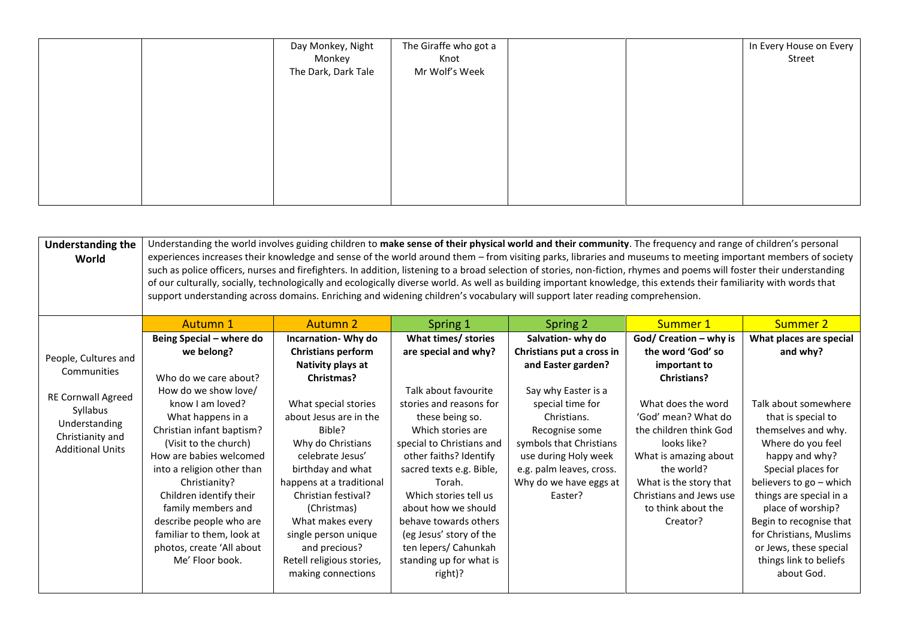| Day Monkey, Night   | The Giraffe who got a |  | In Every House on Every |
|---------------------|-----------------------|--|-------------------------|
| Monkey              | Knot                  |  | Street                  |
| The Dark, Dark Tale | Mr Wolf's Week        |  |                         |
|                     |                       |  |                         |
|                     |                       |  |                         |
|                     |                       |  |                         |
|                     |                       |  |                         |
|                     |                       |  |                         |
|                     |                       |  |                         |
|                     |                       |  |                         |
|                     |                       |  |                         |
|                     |                       |  |                         |
|                     |                       |  |                         |

| <b>Understanding the</b><br>World                                                              | Understanding the world involves guiding children to make sense of their physical world and their community. The frequency and range of children's personal<br>experiences increases their knowledge and sense of the world around them - from visiting parks, libraries and museums to meeting important members of society<br>such as police officers, nurses and firefighters. In addition, listening to a broad selection of stories, non-fiction, rhymes and poems will foster their understanding<br>of our culturally, socially, technologically and ecologically diverse world. As well as building important knowledge, this extends their familiarity with words that<br>support understanding across domains. Enriching and widening children's vocabulary will support later reading comprehension. |                                                                                                                                                                                                                                                                                                          |                                                                                                                                                                                                                                                                                                                                                        |                                                                                                                                                                                              |                                                                                                                                                                                                                  |                                                                                                                                                                                                                                                                                                                                   |  |
|------------------------------------------------------------------------------------------------|-----------------------------------------------------------------------------------------------------------------------------------------------------------------------------------------------------------------------------------------------------------------------------------------------------------------------------------------------------------------------------------------------------------------------------------------------------------------------------------------------------------------------------------------------------------------------------------------------------------------------------------------------------------------------------------------------------------------------------------------------------------------------------------------------------------------|----------------------------------------------------------------------------------------------------------------------------------------------------------------------------------------------------------------------------------------------------------------------------------------------------------|--------------------------------------------------------------------------------------------------------------------------------------------------------------------------------------------------------------------------------------------------------------------------------------------------------------------------------------------------------|----------------------------------------------------------------------------------------------------------------------------------------------------------------------------------------------|------------------------------------------------------------------------------------------------------------------------------------------------------------------------------------------------------------------|-----------------------------------------------------------------------------------------------------------------------------------------------------------------------------------------------------------------------------------------------------------------------------------------------------------------------------------|--|
|                                                                                                | Autumn 1                                                                                                                                                                                                                                                                                                                                                                                                                                                                                                                                                                                                                                                                                                                                                                                                        | Autumn 2                                                                                                                                                                                                                                                                                                 | Spring 1                                                                                                                                                                                                                                                                                                                                               | Spring 2                                                                                                                                                                                     | Summer 1                                                                                                                                                                                                         | Summer 2                                                                                                                                                                                                                                                                                                                          |  |
| People, Cultures and<br>Communities                                                            | Being Special - where do<br>we belong?<br>Who do we care about?                                                                                                                                                                                                                                                                                                                                                                                                                                                                                                                                                                                                                                                                                                                                                 | Incarnation-Why do<br><b>Christians perform</b><br>Nativity plays at<br>Christmas?                                                                                                                                                                                                                       | What times/ stories<br>are special and why?                                                                                                                                                                                                                                                                                                            | Salvation- why do<br>Christians put a cross in<br>and Easter garden?                                                                                                                         | God/ Creation - why is<br>the word 'God' so<br>important to<br><b>Christians?</b>                                                                                                                                | What places are special<br>and why?                                                                                                                                                                                                                                                                                               |  |
| RE Cornwall Agreed<br>Syllabus<br>Understanding<br>Christianity and<br><b>Additional Units</b> | How do we show love/<br>know I am loved?<br>What happens in a<br>Christian infant baptism?<br>(Visit to the church)<br>How are babies welcomed<br>into a religion other than<br>Christianity?<br>Children identify their<br>family members and<br>describe people who are<br>familiar to them, look at<br>photos, create 'All about<br>Me' Floor book.                                                                                                                                                                                                                                                                                                                                                                                                                                                          | What special stories<br>about Jesus are in the<br>Bible?<br>Why do Christians<br>celebrate Jesus'<br>birthday and what<br>happens at a traditional<br>Christian festival?<br>(Christmas)<br>What makes every<br>single person unique<br>and precious?<br>Retell religious stories,<br>making connections | Talk about favourite<br>stories and reasons for<br>these being so.<br>Which stories are<br>special to Christians and<br>other faiths? Identify<br>sacred texts e.g. Bible,<br>Torah.<br>Which stories tell us<br>about how we should<br>behave towards others<br>(eg Jesus' story of the<br>ten lepers/ Cahunkah<br>standing up for what is<br>right)? | Say why Easter is a<br>special time for<br>Christians.<br>Recognise some<br>symbols that Christians<br>use during Holy week<br>e.g. palm leaves, cross.<br>Why do we have eggs at<br>Easter? | What does the word<br>'God' mean? What do<br>the children think God<br>looks like?<br>What is amazing about<br>the world?<br>What is the story that<br>Christians and Jews use<br>to think about the<br>Creator? | Talk about somewhere<br>that is special to<br>themselves and why.<br>Where do you feel<br>happy and why?<br>Special places for<br>believers to go - which<br>things are special in a<br>place of worship?<br>Begin to recognise that<br>for Christians, Muslims<br>or Jews, these special<br>things link to beliefs<br>about God. |  |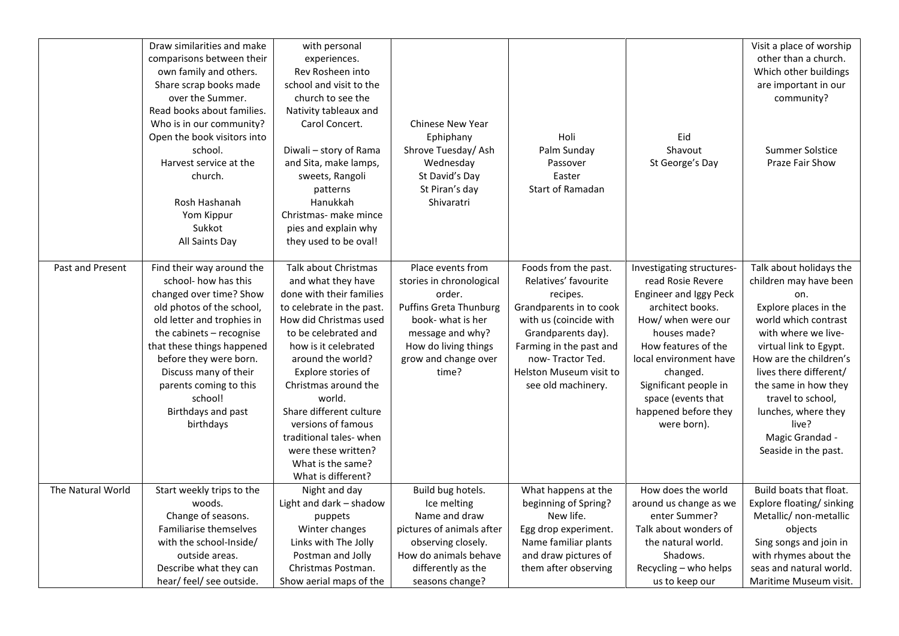|                   | Draw similarities and make<br>comparisons between their<br>own family and others.<br>Share scrap books made<br>over the Summer.<br>Read books about families.<br>Who is in our community?<br>Open the book visitors into<br>school.<br>Harvest service at the<br>church.<br>Rosh Hashanah<br>Yom Kippur<br>Sukkot            | with personal<br>experiences.<br>Rev Rosheen into<br>school and visit to the<br>church to see the<br>Nativity tableaux and<br>Carol Concert.<br>Diwali - story of Rama<br>and Sita, make lamps,<br>sweets, Rangoli<br>patterns<br>Hanukkah<br>Christmas- make mince<br>pies and explain why                                                                                                             | <b>Chinese New Year</b><br>Ephiphany<br>Shrove Tuesday/Ash<br>Wednesday<br>St David's Day<br>St Piran's day<br>Shivaratri                                                                  | Holi<br>Palm Sunday<br>Passover<br>Easter<br>Start of Ramadan                                                                                                                                                                       | Eid<br>Shavout<br>St George's Day                                                                                                                                                                                                                                                     | Visit a place of worship<br>other than a church.<br>Which other buildings<br>are important in our<br>community?<br>Summer Solstice<br>Praze Fair Show                                                                                                                                                                                  |
|-------------------|------------------------------------------------------------------------------------------------------------------------------------------------------------------------------------------------------------------------------------------------------------------------------------------------------------------------------|---------------------------------------------------------------------------------------------------------------------------------------------------------------------------------------------------------------------------------------------------------------------------------------------------------------------------------------------------------------------------------------------------------|--------------------------------------------------------------------------------------------------------------------------------------------------------------------------------------------|-------------------------------------------------------------------------------------------------------------------------------------------------------------------------------------------------------------------------------------|---------------------------------------------------------------------------------------------------------------------------------------------------------------------------------------------------------------------------------------------------------------------------------------|----------------------------------------------------------------------------------------------------------------------------------------------------------------------------------------------------------------------------------------------------------------------------------------------------------------------------------------|
|                   | All Saints Day                                                                                                                                                                                                                                                                                                               | they used to be oval!                                                                                                                                                                                                                                                                                                                                                                                   |                                                                                                                                                                                            |                                                                                                                                                                                                                                     |                                                                                                                                                                                                                                                                                       |                                                                                                                                                                                                                                                                                                                                        |
| Past and Present  | Find their way around the<br>school- how has this<br>changed over time? Show<br>old photos of the school,<br>old letter and trophies in<br>the cabinets - recognise<br>that these things happened<br>before they were born.<br>Discuss many of their<br>parents coming to this<br>school!<br>Birthdays and past<br>birthdays | Talk about Christmas<br>and what they have<br>done with their families<br>to celebrate in the past.<br>How did Christmas used<br>to be celebrated and<br>how is it celebrated<br>around the world?<br>Explore stories of<br>Christmas around the<br>world.<br>Share different culture<br>versions of famous<br>traditional tales-when<br>were these written?<br>What is the same?<br>What is different? | Place events from<br>stories in chronological<br>order.<br><b>Puffins Greta Thunburg</b><br>book- what is her<br>message and why?<br>How do living things<br>grow and change over<br>time? | Foods from the past.<br>Relatives' favourite<br>recipes.<br>Grandparents in to cook<br>with us (coincide with<br>Grandparents day).<br>Farming in the past and<br>now-Tractor Ted.<br>Helston Museum visit to<br>see old machinery. | Investigating structures-<br>read Rosie Revere<br>Engineer and Iggy Peck<br>architect books.<br>How/ when were our<br>houses made?<br>How features of the<br>local environment have<br>changed.<br>Significant people in<br>space (events that<br>happened before they<br>were born). | Talk about holidays the<br>children may have been<br>on.<br>Explore places in the<br>world which contrast<br>with where we live-<br>virtual link to Egypt.<br>How are the children's<br>lives there different/<br>the same in how they<br>travel to school,<br>lunches, where they<br>live?<br>Magic Grandad -<br>Seaside in the past. |
| The Natural World | Start weekly trips to the<br>woods.<br>Change of seasons.<br>Familiarise themselves<br>with the school-Inside/<br>outside areas.<br>Describe what they can                                                                                                                                                                   | Night and day<br>Light and dark - shadow<br>puppets<br>Winter changes<br>Links with The Jolly<br>Postman and Jolly<br>Christmas Postman.                                                                                                                                                                                                                                                                | Build bug hotels.<br>Ice melting<br>Name and draw<br>pictures of animals after<br>observing closely.<br>How do animals behave<br>differently as the                                        | What happens at the<br>beginning of Spring?<br>New life.<br>Egg drop experiment.<br>Name familiar plants<br>and draw pictures of<br>them after observing                                                                            | How does the world<br>around us change as we<br>enter Summer?<br>Talk about wonders of<br>the natural world.<br>Shadows.<br>Recycling - who helps                                                                                                                                     | Build boats that float.<br>Explore floating/ sinking<br>Metallic/ non-metallic<br>objects<br>Sing songs and join in<br>with rhymes about the<br>seas and natural world.                                                                                                                                                                |
|                   | hear/ feel/ see outside.                                                                                                                                                                                                                                                                                                     | Show aerial maps of the                                                                                                                                                                                                                                                                                                                                                                                 | seasons change?                                                                                                                                                                            |                                                                                                                                                                                                                                     | us to keep our                                                                                                                                                                                                                                                                        | Maritime Museum visit.                                                                                                                                                                                                                                                                                                                 |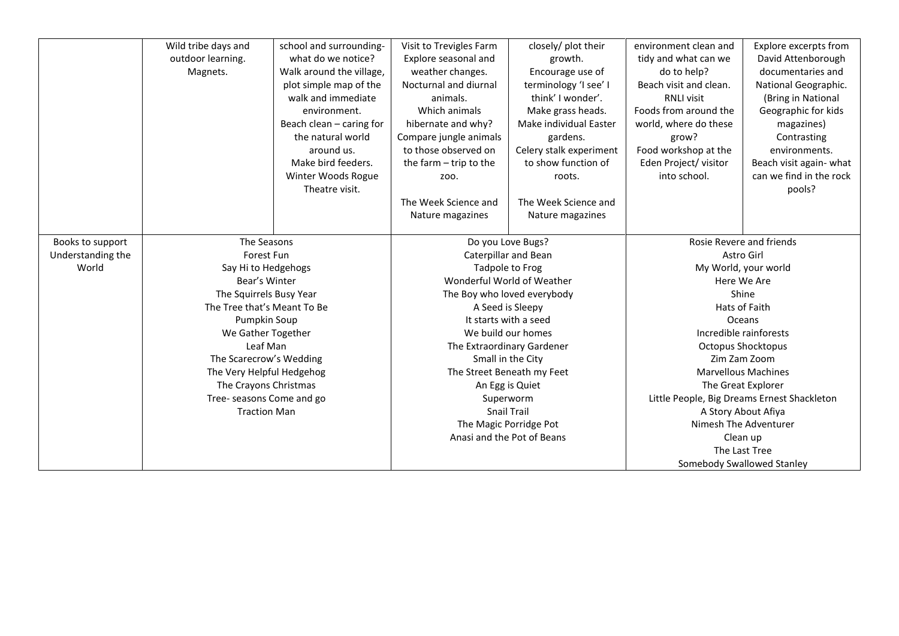|                   | Wild tribe days and         | school and surrounding-  | Visit to Trevigles Farm  | closely/ plot their         | environment clean and    | Explore excerpts from                       |
|-------------------|-----------------------------|--------------------------|--------------------------|-----------------------------|--------------------------|---------------------------------------------|
|                   | outdoor learning.           | what do we notice?       | Explore seasonal and     | growth.                     | tidy and what can we     | David Attenborough                          |
|                   | Magnets.                    | Walk around the village, | weather changes.         | Encourage use of            | do to help?              | documentaries and                           |
|                   |                             | plot simple map of the   | Nocturnal and diurnal    | terminology 'I see' I       | Beach visit and clean.   | National Geographic.                        |
|                   |                             | walk and immediate       | animals.                 | think' I wonder'.           | <b>RNLI visit</b>        | (Bring in National                          |
|                   |                             | environment.             | Which animals            | Make grass heads.           | Foods from around the    | Geographic for kids                         |
|                   |                             | Beach clean - caring for | hibernate and why?       | Make individual Easter      | world, where do these    | magazines)                                  |
|                   |                             | the natural world        | Compare jungle animals   | gardens.                    | grow?                    | Contrasting                                 |
|                   |                             | around us.               | to those observed on     | Celery stalk experiment     | Food workshop at the     | environments.                               |
|                   |                             | Make bird feeders.       | the farm $-$ trip to the | to show function of         | Eden Project/ visitor    | Beach visit again-what                      |
|                   |                             | Winter Woods Rogue       | ZOO.                     | roots.                      | into school.             | can we find in the rock                     |
|                   |                             | Theatre visit.           |                          |                             |                          | pools?                                      |
|                   |                             |                          | The Week Science and     | The Week Science and        |                          |                                             |
|                   |                             |                          | Nature magazines         | Nature magazines            |                          |                                             |
|                   |                             |                          |                          |                             |                          |                                             |
| Books to support  | The Seasons                 |                          | Do you Love Bugs?        |                             | Rosie Revere and friends |                                             |
| Understanding the | Forest Fun                  |                          |                          | <b>Caterpillar and Bean</b> |                          | Astro Girl                                  |
| World             | Say Hi to Hedgehogs         |                          |                          | Tadpole to Frog             |                          | My World, your world                        |
|                   | Bear's Winter               |                          |                          | Wonderful World of Weather  |                          | Here We Are                                 |
|                   | The Squirrels Busy Year     |                          |                          | The Boy who loved everybody |                          | Shine                                       |
|                   | The Tree that's Meant To Be |                          |                          | A Seed is Sleepy            |                          | Hats of Faith                               |
|                   | Pumpkin Soup                |                          |                          | It starts with a seed       |                          | Oceans                                      |
|                   | We Gather Together          |                          |                          | We build our homes          |                          | Incredible rainforests                      |
|                   | Leaf Man                    |                          |                          | The Extraordinary Gardener  |                          | <b>Octopus Shocktopus</b>                   |
|                   | The Scarecrow's Wedding     |                          |                          | Small in the City           |                          | Zim Zam Zoom                                |
|                   | The Very Helpful Hedgehog   |                          |                          | The Street Beneath my Feet  |                          | <b>Marvellous Machines</b>                  |
|                   | The Crayons Christmas       |                          |                          | An Egg is Quiet             |                          | The Great Explorer                          |
|                   | Tree- seasons Come and go   |                          |                          | Superworm                   |                          | Little People, Big Dreams Ernest Shackleton |
|                   | <b>Traction Man</b>         |                          |                          | <b>Snail Trail</b>          |                          | A Story About Afiya                         |
|                   |                             |                          |                          | The Magic Porridge Pot      |                          | Nimesh The Adventurer                       |
|                   |                             |                          |                          | Anasi and the Pot of Beans  |                          | Clean up                                    |
|                   |                             |                          |                          |                             |                          | The Last Tree                               |
|                   |                             |                          |                          |                             |                          | Somebody Swallowed Stanley                  |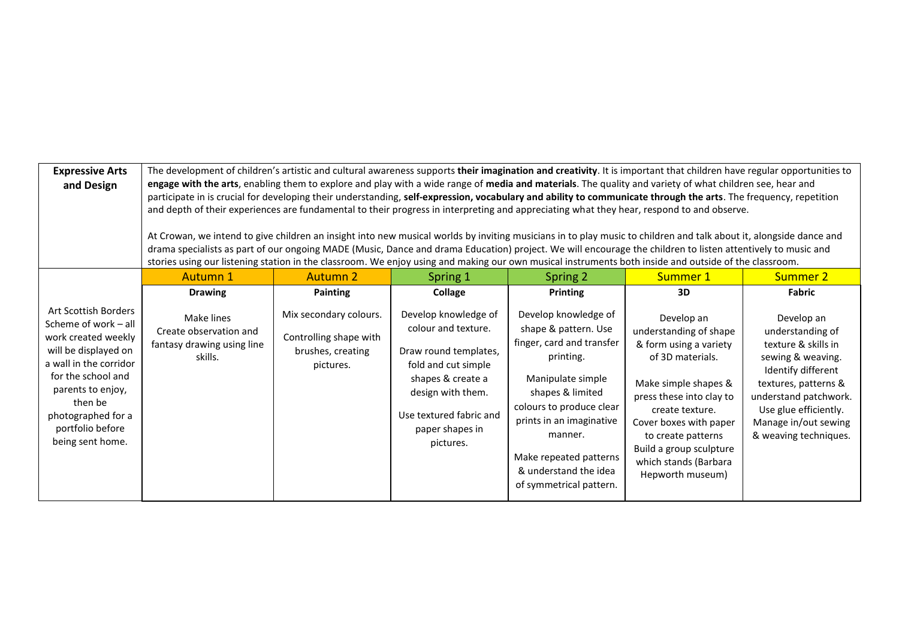| <b>Expressive Arts</b><br>and Design                                                                                                                                                                                                      | The development of children's artistic and cultural awareness supports their imagination and creativity. It is important that children have regular opportunities to<br>engage with the arts, enabling them to explore and play with a wide range of media and materials. The quality and variety of what children see, hear and<br>participate in is crucial for developing their understanding, self-expression, vocabulary and ability to communicate through the arts. The frequency, repetition<br>and depth of their experiences are fundamental to their progress in interpreting and appreciating what they hear, respond to and observe.<br>At Crowan, we intend to give children an insight into new musical worlds by inviting musicians in to play music to children and talk about it, alongside dance and<br>drama specialists as part of our ongoing MADE (Music, Dance and drama Education) project. We will encourage the children to listen attentively to music and<br>stories using our listening station in the classroom. We enjoy using and making our own musical instruments both inside and outside of the classroom. |                                                                                    |                                                                                                                                                                                                  |                                                                                                                                                                                                                                                                                  |                                                                                                                                                                                                                                                                                   |                                                                                                                                                                                                                             |  |  |
|-------------------------------------------------------------------------------------------------------------------------------------------------------------------------------------------------------------------------------------------|-------------------------------------------------------------------------------------------------------------------------------------------------------------------------------------------------------------------------------------------------------------------------------------------------------------------------------------------------------------------------------------------------------------------------------------------------------------------------------------------------------------------------------------------------------------------------------------------------------------------------------------------------------------------------------------------------------------------------------------------------------------------------------------------------------------------------------------------------------------------------------------------------------------------------------------------------------------------------------------------------------------------------------------------------------------------------------------------------------------------------------------------------|------------------------------------------------------------------------------------|--------------------------------------------------------------------------------------------------------------------------------------------------------------------------------------------------|----------------------------------------------------------------------------------------------------------------------------------------------------------------------------------------------------------------------------------------------------------------------------------|-----------------------------------------------------------------------------------------------------------------------------------------------------------------------------------------------------------------------------------------------------------------------------------|-----------------------------------------------------------------------------------------------------------------------------------------------------------------------------------------------------------------------------|--|--|
|                                                                                                                                                                                                                                           | Autumn 1                                                                                                                                                                                                                                                                                                                                                                                                                                                                                                                                                                                                                                                                                                                                                                                                                                                                                                                                                                                                                                                                                                                                        | <b>Autumn 2</b>                                                                    | Spring 1                                                                                                                                                                                         | Spring 2                                                                                                                                                                                                                                                                         | Summer 1                                                                                                                                                                                                                                                                          | <b>Summer 2</b>                                                                                                                                                                                                             |  |  |
|                                                                                                                                                                                                                                           | <b>Drawing</b>                                                                                                                                                                                                                                                                                                                                                                                                                                                                                                                                                                                                                                                                                                                                                                                                                                                                                                                                                                                                                                                                                                                                  | <b>Painting</b>                                                                    | Collage                                                                                                                                                                                          | <b>Printing</b>                                                                                                                                                                                                                                                                  | 3D                                                                                                                                                                                                                                                                                | Fabric                                                                                                                                                                                                                      |  |  |
| Art Scottish Borders<br>Scheme of work - all<br>work created weekly<br>will be displayed on<br>a wall in the corridor<br>for the school and<br>parents to enjoy,<br>then be<br>photographed for a<br>portfolio before<br>being sent home. | Make lines<br>Create observation and<br>fantasy drawing using line<br>skills.                                                                                                                                                                                                                                                                                                                                                                                                                                                                                                                                                                                                                                                                                                                                                                                                                                                                                                                                                                                                                                                                   | Mix secondary colours.<br>Controlling shape with<br>brushes, creating<br>pictures. | Develop knowledge of<br>colour and texture.<br>Draw round templates,<br>fold and cut simple<br>shapes & create a<br>design with them.<br>Use textured fabric and<br>paper shapes in<br>pictures. | Develop knowledge of<br>shape & pattern. Use<br>finger, card and transfer<br>printing.<br>Manipulate simple<br>shapes & limited<br>colours to produce clear<br>prints in an imaginative<br>manner.<br>Make repeated patterns<br>& understand the idea<br>of symmetrical pattern. | Develop an<br>understanding of shape<br>& form using a variety<br>of 3D materials.<br>Make simple shapes &<br>press these into clay to<br>create texture.<br>Cover boxes with paper<br>to create patterns<br>Build a group sculpture<br>which stands (Barbara<br>Hepworth museum) | Develop an<br>understanding of<br>texture & skills in<br>sewing & weaving.<br>Identify different<br>textures, patterns &<br>understand patchwork.<br>Use glue efficiently.<br>Manage in/out sewing<br>& weaving techniques. |  |  |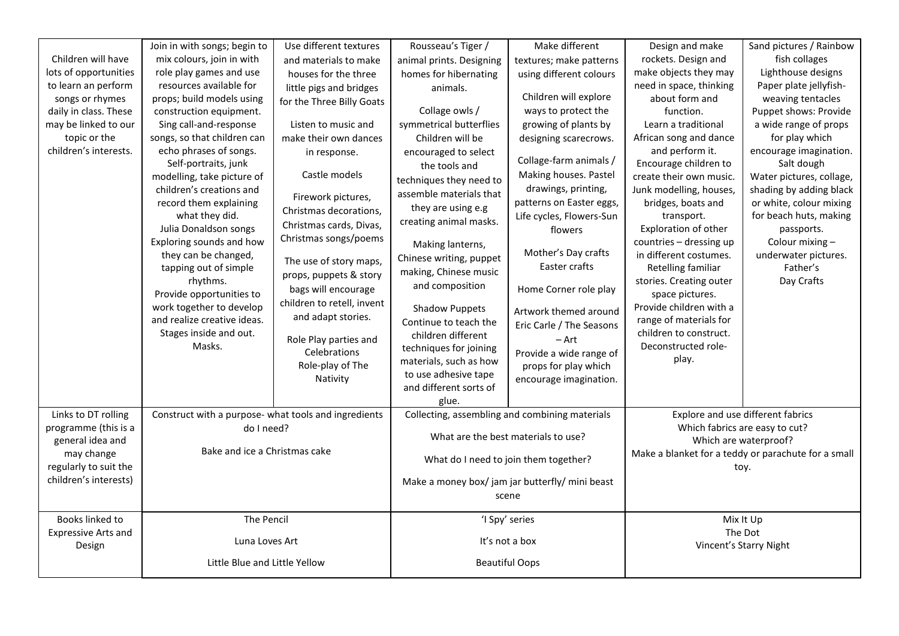|                            | Join in with songs; begin to                         | Use different textures     | Rousseau's Tiger /       | Make different                                  | Design and make         | Sand pictures / Rainbow                             |
|----------------------------|------------------------------------------------------|----------------------------|--------------------------|-------------------------------------------------|-------------------------|-----------------------------------------------------|
| Children will have         | mix colours, join in with                            | and materials to make      | animal prints. Designing | textures; make patterns                         | rockets. Design and     | fish collages                                       |
| lots of opportunities      | role play games and use                              | houses for the three       | homes for hibernating    | using different colours                         | make objects they may   | Lighthouse designs                                  |
| to learn an perform        | resources available for                              | little pigs and bridges    | animals.                 |                                                 | need in space, thinking | Paper plate jellyfish-                              |
| songs or rhymes            | props; build models using                            | for the Three Billy Goats  |                          | Children will explore                           | about form and          | weaving tentacles                                   |
| daily in class. These      | construction equipment.                              |                            | Collage owls /           | ways to protect the                             | function.               | Puppet shows: Provide                               |
| may be linked to our       | Sing call-and-response                               | Listen to music and        | symmetrical butterflies  | growing of plants by                            | Learn a traditional     | a wide range of props                               |
| topic or the               | songs, so that children can                          | make their own dances      | Children will be         | designing scarecrows.                           | African song and dance  | for play which                                      |
| children's interests.      | echo phrases of songs.                               | in response.               | encouraged to select     |                                                 | and perform it.         | encourage imagination.                              |
|                            | Self-portraits, junk                                 |                            | the tools and            | Collage-farm animals /                          | Encourage children to   | Salt dough                                          |
|                            | modelling, take picture of                           | Castle models              | techniques they need to  | Making houses. Pastel                           | create their own music. | Water pictures, collage,                            |
|                            | children's creations and                             |                            | assemble materials that  | drawings, printing,                             | Junk modelling, houses, | shading by adding black                             |
|                            | record them explaining                               | Firework pictures,         | they are using e.g       | patterns on Easter eggs,                        | bridges, boats and      | or white, colour mixing                             |
|                            | what they did.                                       | Christmas decorations,     | creating animal masks.   | Life cycles, Flowers-Sun                        | transport.              | for beach huts, making                              |
|                            | Julia Donaldson songs                                | Christmas cards, Divas,    |                          | flowers                                         | Exploration of other    | passports.                                          |
|                            | Exploring sounds and how                             | Christmas songs/poems      | Making lanterns,         |                                                 | countries - dressing up | Colour mixing -                                     |
|                            | they can be changed,                                 | The use of story maps,     | Chinese writing, puppet  | Mother's Day crafts                             | in different costumes.  | underwater pictures.                                |
|                            | tapping out of simple                                |                            | making, Chinese music    | Easter crafts                                   | Retelling familiar      | Father's                                            |
|                            | rhythms.                                             | props, puppets & story     | and composition          |                                                 | stories. Creating outer | Day Crafts                                          |
|                            | Provide opportunities to                             | bags will encourage        |                          | Home Corner role play                           | space pictures.         |                                                     |
|                            | work together to develop                             | children to retell, invent | <b>Shadow Puppets</b>    | Artwork themed around                           | Provide children with a |                                                     |
|                            | and realize creative ideas.                          | and adapt stories.         | Continue to teach the    | Eric Carle / The Seasons                        | range of materials for  |                                                     |
|                            | Stages inside and out.                               | Role Play parties and      | children different       | $-$ Art                                         | children to construct.  |                                                     |
|                            | Masks.                                               | Celebrations               | techniques for joining   | Provide a wide range of                         | Deconstructed role-     |                                                     |
|                            |                                                      | Role-play of The           | materials, such as how   | props for play which                            | play.                   |                                                     |
|                            |                                                      | Nativity                   | to use adhesive tape     | encourage imagination.                          |                         |                                                     |
|                            |                                                      |                            | and different sorts of   |                                                 |                         |                                                     |
|                            |                                                      |                            | glue.                    |                                                 |                         |                                                     |
| Links to DT rolling        | Construct with a purpose- what tools and ingredients |                            |                          | Collecting, assembling and combining materials  |                         | Explore and use different fabrics                   |
| programme (this is a       | do I need?                                           |                            |                          |                                                 |                         | Which fabrics are easy to cut?                      |
| general idea and           |                                                      |                            |                          | What are the best materials to use?             |                         | Which are waterproof?                               |
| may change                 | Bake and ice a Christmas cake                        |                            |                          | What do I need to join them together?           |                         | Make a blanket for a teddy or parachute for a small |
| regularly to suit the      |                                                      |                            |                          |                                                 |                         | toy.                                                |
| children's interests)      |                                                      |                            |                          | Make a money box/ jam jar butterfly/ mini beast |                         |                                                     |
|                            |                                                      |                            |                          | scene                                           |                         |                                                     |
|                            |                                                      |                            |                          |                                                 |                         |                                                     |
| Books linked to            | The Pencil                                           |                            | 'I Spy' series           |                                                 |                         | Mix It Up                                           |
| <b>Expressive Arts and</b> | Luna Loves Art                                       |                            | It's not a box           |                                                 |                         | The Dot                                             |
| Design                     |                                                      |                            |                          |                                                 |                         | Vincent's Starry Night                              |
|                            | Little Blue and Little Yellow                        |                            |                          | <b>Beautiful Oops</b>                           |                         |                                                     |
|                            |                                                      |                            |                          |                                                 |                         |                                                     |